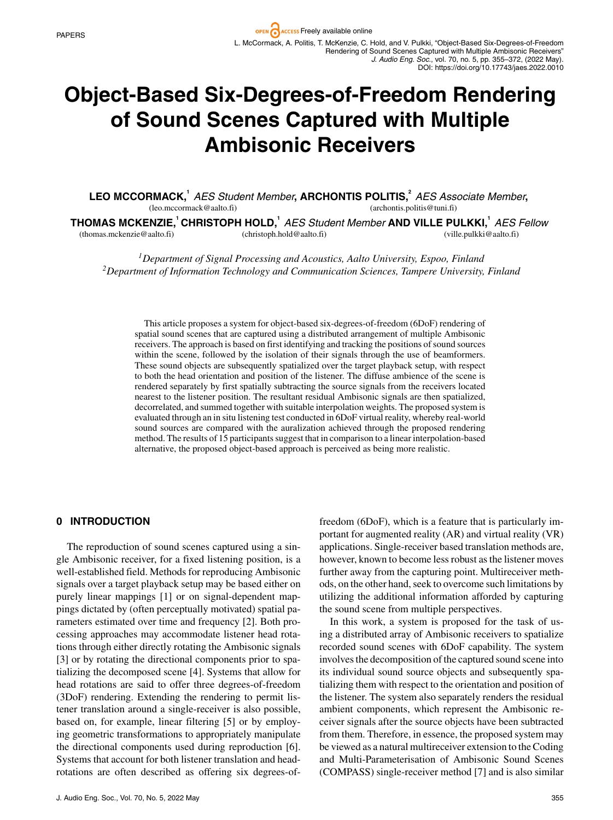# **Object-Based Six-Degrees-of-Freedom Rendering of Sound Scenes Captured with Multiple Ambisonic Receivers**

LEO MCCORMACK,<sup>1</sup> AES Student Member, ARCHONTIS POLITIS,<sup>2</sup> AES Associate Member, (leo.mccormack@aalto.fi) (archontis.politis@tuni.fi)

**THOMAS MCKENZIE,<sup>1</sup> CHRISTOPH HOLD,<sup>1</sup>** *AES Student Member* **AND VILLE PULKKI,<sup>1</sup>** *AES Fellow* (thomas.mckenzie@aalto.fi) (christoph.hold@aalto.fi) (ville.pulkki@aalto.fi)

*1Department of Signal Processing and Acoustics, Aalto University, Espoo, Finland 2Department of Information Technology and Communication Sciences, Tampere University, Finland*

This article proposes a system for object-based six-degrees-of-freedom (6DoF) rendering of spatial sound scenes that are captured using a distributed arrangement of multiple Ambisonic receivers. The approach is based on first identifying and tracking the positions of sound sources within the scene, followed by the isolation of their signals through the use of beamformers. These sound objects are subsequently spatialized over the target playback setup, with respect to both the head orientation and position of the listener. The diffuse ambience of the scene is rendered separately by first spatially subtracting the source signals from the receivers located nearest to the listener position. The resultant residual Ambisonic signals are then spatialized, decorrelated, and summed together with suitable interpolation weights. The proposed system is evaluated through an in situ listening test conducted in 6DoF virtual reality, whereby real-world sound sources are compared with the auralization achieved through the proposed rendering method. The results of 15 participants suggest that in comparison to a linear interpolation-based alternative, the proposed object-based approach is perceived as being more realistic.

## **0 INTRODUCTION**

The reproduction of sound scenes captured using a single Ambisonic receiver, for a fixed listening position, is a well-established field. Methods for reproducing Ambisonic signals over a target playback setup may be based either on purely linear mappings [1] or on signal-dependent mappings dictated by (often perceptually motivated) spatial parameters estimated over time and frequency [2]. Both processing approaches may accommodate listener head rotations through either directly rotating the Ambisonic signals [3] or by rotating the directional components prior to spatializing the decomposed scene [4]. Systems that allow for head rotations are said to offer three degrees-of-freedom (3DoF) rendering. Extending the rendering to permit listener translation around a single-receiver is also possible, based on, for example, linear filtering [5] or by employing geometric transformations to appropriately manipulate the directional components used during reproduction [6]. Systems that account for both listener translation and headrotations are often described as offering six degrees-offreedom (6DoF), which is a feature that is particularly important for augmented reality (AR) and virtual reality (VR) applications. Single-receiver based translation methods are, however, known to become less robust as the listener moves further away from the capturing point. Multireceiver methods, on the other hand, seek to overcome such limitations by utilizing the additional information afforded by capturing the sound scene from multiple perspectives.

In this work, a system is proposed for the task of using a distributed array of Ambisonic receivers to spatialize recorded sound scenes with 6DoF capability. The system involves the decomposition of the captured sound scene into its individual sound source objects and subsequently spatializing them with respect to the orientation and position of the listener. The system also separately renders the residual ambient components, which represent the Ambisonic receiver signals after the source objects have been subtracted from them. Therefore, in essence, the proposed system may be viewed as a natural multireceiver extension to the Coding and Multi-Parameterisation of Ambisonic Sound Scenes (COMPASS) single-receiver method [7] and is also similar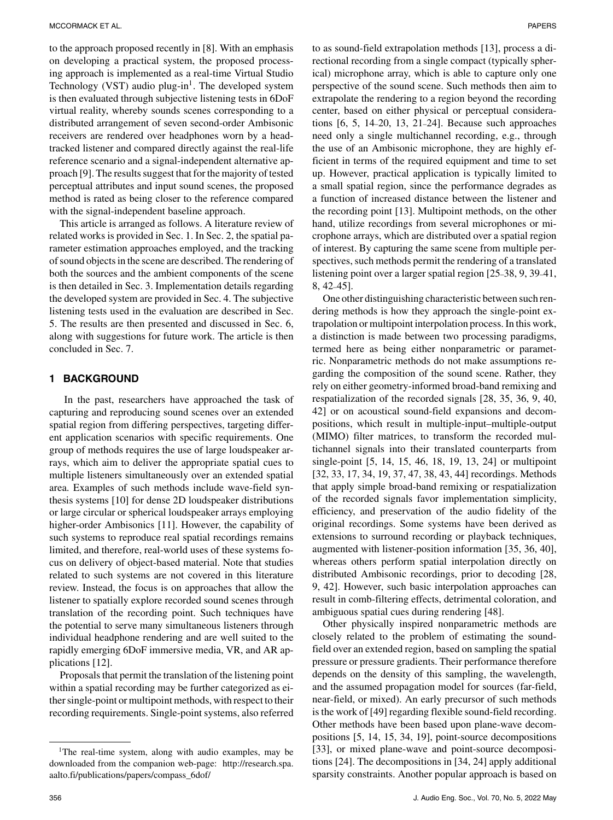to the approach proposed recently in [8]. With an emphasis on developing a practical system, the proposed processing approach is implemented as a real-time Virtual Studio Technology (VST) audio plug-in<sup>1</sup>. The developed system is then evaluated through subjective listening tests in 6DoF virtual reality, whereby sounds scenes corresponding to a distributed arrangement of seven second-order Ambisonic receivers are rendered over headphones worn by a headtracked listener and compared directly against the real-life reference scenario and a signal-independent alternative approach [9]. The results suggest that for the majority of tested perceptual attributes and input sound scenes, the proposed method is rated as being closer to the reference compared with the signal-independent baseline approach.

This article is arranged as follows. A literature review of related works is provided in Sec. 1. In Sec. 2, the spatial parameter estimation approaches employed, and the tracking of sound objects in the scene are described. The rendering of both the sources and the ambient components of the scene is then detailed in Sec. 3. Implementation details regarding the developed system are provided in Sec. 4. The subjective listening tests used in the evaluation are described in Sec. 5. The results are then presented and discussed in Sec. 6, along with suggestions for future work. The article is then concluded in Sec. 7.

## **1 BACKGROUND**

In the past, researchers have approached the task of capturing and reproducing sound scenes over an extended spatial region from differing perspectives, targeting different application scenarios with specific requirements. One group of methods requires the use of large loudspeaker arrays, which aim to deliver the appropriate spatial cues to multiple listeners simultaneously over an extended spatial area. Examples of such methods include wave-field synthesis systems [10] for dense 2D loudspeaker distributions or large circular or spherical loudspeaker arrays employing higher-order Ambisonics [11]. However, the capability of such systems to reproduce real spatial recordings remains limited, and therefore, real-world uses of these systems focus on delivery of object-based material. Note that studies related to such systems are not covered in this literature review. Instead, the focus is on approaches that allow the listener to spatially explore recorded sound scenes through translation of the recording point. Such techniques have the potential to serve many simultaneous listeners through individual headphone rendering and are well suited to the rapidly emerging 6DoF immersive media, VR, and AR applications [12].

Proposals that permit the translation of the listening point within a spatial recording may be further categorized as either single-point or multipoint methods, with respect to their recording requirements. Single-point systems, also referred

to as sound-field extrapolation methods [13], process a directional recording from a single compact (typically spherical) microphone array, which is able to capture only one perspective of the sound scene. Such methods then aim to extrapolate the rendering to a region beyond the recording center, based on either physical or perceptual considerations [6, 5, 14–20, 13, 21–24]. Because such approaches need only a single multichannel recording, e.g., through the use of an Ambisonic microphone, they are highly efficient in terms of the required equipment and time to set up. However, practical application is typically limited to a small spatial region, since the performance degrades as a function of increased distance between the listener and the recording point [13]. Multipoint methods, on the other hand, utilize recordings from several microphones or microphone arrays, which are distributed over a spatial region of interest. By capturing the same scene from multiple perspectives, such methods permit the rendering of a translated listening point over a larger spatial region [25–38, 9, 39–41, 8, 42–45].

One other distinguishing characteristic between such rendering methods is how they approach the single-point extrapolation or multipoint interpolation process. In this work, a distinction is made between two processing paradigms, termed here as being either nonparametric or parametric. Nonparametric methods do not make assumptions regarding the composition of the sound scene. Rather, they rely on either geometry-informed broad-band remixing and respatialization of the recorded signals [28, 35, 36, 9, 40, 42] or on acoustical sound-field expansions and decompositions, which result in multiple-input–multiple-output (MIMO) filter matrices, to transform the recorded multichannel signals into their translated counterparts from single-point [5, 14, 15, 46, 18, 19, 13, 24] or multipoint [32, 33, 17, 34, 19, 37, 47, 38, 43, 44] recordings. Methods that apply simple broad-band remixing or respatialization of the recorded signals favor implementation simplicity, efficiency, and preservation of the audio fidelity of the original recordings. Some systems have been derived as extensions to surround recording or playback techniques, augmented with listener-position information [35, 36, 40], whereas others perform spatial interpolation directly on distributed Ambisonic recordings, prior to decoding [28, 9, 42]. However, such basic interpolation approaches can result in comb-filtering effects, detrimental coloration, and ambiguous spatial cues during rendering [48].

Other physically inspired nonparametric methods are closely related to the problem of estimating the soundfield over an extended region, based on sampling the spatial pressure or pressure gradients. Their performance therefore depends on the density of this sampling, the wavelength, and the assumed propagation model for sources (far-field, near-field, or mixed). An early precursor of such methods is the work of [49] regarding flexible sound-field recording. Other methods have been based upon plane-wave decompositions [5, 14, 15, 34, 19], point-source decompositions [33], or mixed plane-wave and point-source decompositions [24]. The decompositions in [34, 24] apply additional sparsity constraints. Another popular approach is based on

<sup>&</sup>lt;sup>1</sup>The real-time system, along with audio examples, may be downloaded from the companion web-page: [http://research.spa.](http://research.spa.aalto.fi/publications/papers/compass_6dof/) [aalto.fi/publications/papers/compass\\_6dof/](http://research.spa.aalto.fi/publications/papers/compass_6dof/)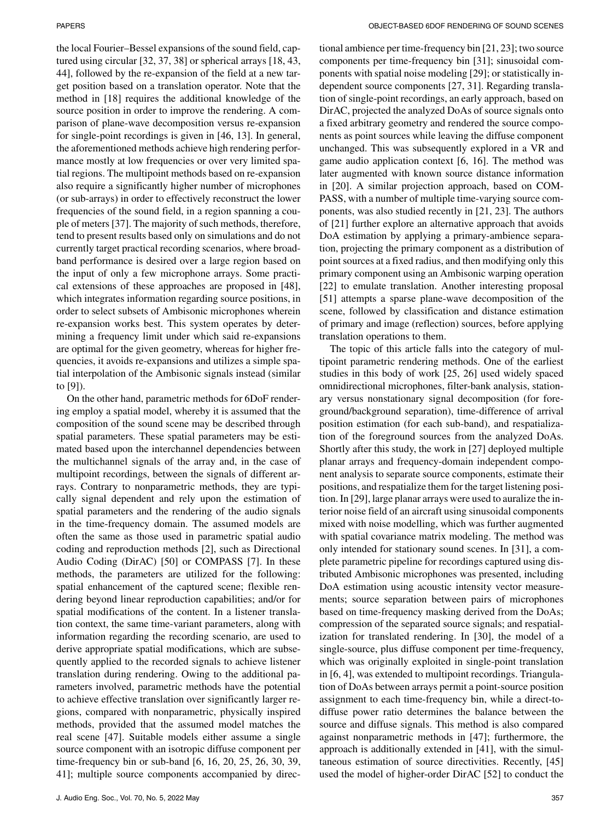the local Fourier–Bessel expansions of the sound field, captured using circular [32, 37, 38] or spherical arrays [18, 43, 44], followed by the re-expansion of the field at a new target position based on a translation operator. Note that the method in [18] requires the additional knowledge of the source position in order to improve the rendering. A comparison of plane-wave decomposition versus re-expansion for single-point recordings is given in [46, 13]. In general, the aforementioned methods achieve high rendering performance mostly at low frequencies or over very limited spatial regions. The multipoint methods based on re-expansion also require a significantly higher number of microphones (or sub-arrays) in order to effectively reconstruct the lower frequencies of the sound field, in a region spanning a couple of meters [37]. The majority of such methods, therefore, tend to present results based only on simulations and do not currently target practical recording scenarios, where broadband performance is desired over a large region based on the input of only a few microphone arrays. Some practical extensions of these approaches are proposed in [48], which integrates information regarding source positions, in order to select subsets of Ambisonic microphones wherein re-expansion works best. This system operates by determining a frequency limit under which said re-expansions are optimal for the given geometry, whereas for higher frequencies, it avoids re-expansions and utilizes a simple spatial interpolation of the Ambisonic signals instead (similar to [9]).

On the other hand, parametric methods for 6DoF rendering employ a spatial model, whereby it is assumed that the composition of the sound scene may be described through spatial parameters. These spatial parameters may be estimated based upon the interchannel dependencies between the multichannel signals of the array and, in the case of multipoint recordings, between the signals of different arrays. Contrary to nonparametric methods, they are typically signal dependent and rely upon the estimation of spatial parameters and the rendering of the audio signals in the time-frequency domain. The assumed models are often the same as those used in parametric spatial audio coding and reproduction methods [2], such as Directional Audio Coding (DirAC) [50] or COMPASS [7]. In these methods, the parameters are utilized for the following: spatial enhancement of the captured scene; flexible rendering beyond linear reproduction capabilities; and/or for spatial modifications of the content. In a listener translation context, the same time-variant parameters, along with information regarding the recording scenario, are used to derive appropriate spatial modifications, which are subsequently applied to the recorded signals to achieve listener translation during rendering. Owing to the additional parameters involved, parametric methods have the potential to achieve effective translation over significantly larger regions, compared with nonparametric, physically inspired methods, provided that the assumed model matches the real scene [47]. Suitable models either assume a single source component with an isotropic diffuse component per time-frequency bin or sub-band [6, 16, 20, 25, 26, 30, 39, 41]; multiple source components accompanied by directional ambience per time-frequency bin [21, 23]; two source components per time-frequency bin [31]; sinusoidal components with spatial noise modeling [29]; or statistically independent source components [27, 31]. Regarding translation of single-point recordings, an early approach, based on DirAC, projected the analyzed DoAs of source signals onto a fixed arbitrary geometry and rendered the source components as point sources while leaving the diffuse component unchanged. This was subsequently explored in a VR and game audio application context [6, 16]. The method was later augmented with known source distance information in [20]. A similar projection approach, based on COM-PASS, with a number of multiple time-varying source components, was also studied recently in [21, 23]. The authors of [21] further explore an alternative approach that avoids DoA estimation by applying a primary-ambience separation, projecting the primary component as a distribution of point sources at a fixed radius, and then modifying only this primary component using an Ambisonic warping operation [22] to emulate translation. Another interesting proposal [51] attempts a sparse plane-wave decomposition of the scene, followed by classification and distance estimation of primary and image (reflection) sources, before applying translation operations to them.

The topic of this article falls into the category of multipoint parametric rendering methods. One of the earliest studies in this body of work [25, 26] used widely spaced omnidirectional microphones, filter-bank analysis, stationary versus nonstationary signal decomposition (for foreground/background separation), time-difference of arrival position estimation (for each sub-band), and respatialization of the foreground sources from the analyzed DoAs. Shortly after this study, the work in [27] deployed multiple planar arrays and frequency-domain independent component analysis to separate source components, estimate their positions, and respatialize them for the target listening position. In [29], large planar arrays were used to auralize the interior noise field of an aircraft using sinusoidal components mixed with noise modelling, which was further augmented with spatial covariance matrix modeling. The method was only intended for stationary sound scenes. In [31], a complete parametric pipeline for recordings captured using distributed Ambisonic microphones was presented, including DoA estimation using acoustic intensity vector measurements; source separation between pairs of microphones based on time-frequency masking derived from the DoAs; compression of the separated source signals; and respatialization for translated rendering. In [30], the model of a single-source, plus diffuse component per time-frequency, which was originally exploited in single-point translation in [6, 4], was extended to multipoint recordings. Triangulation of DoAs between arrays permit a point-source position assignment to each time-frequency bin, while a direct-todiffuse power ratio determines the balance between the source and diffuse signals. This method is also compared against nonparametric methods in [47]; furthermore, the approach is additionally extended in [41], with the simultaneous estimation of source directivities. Recently, [45] used the model of higher-order DirAC [52] to conduct the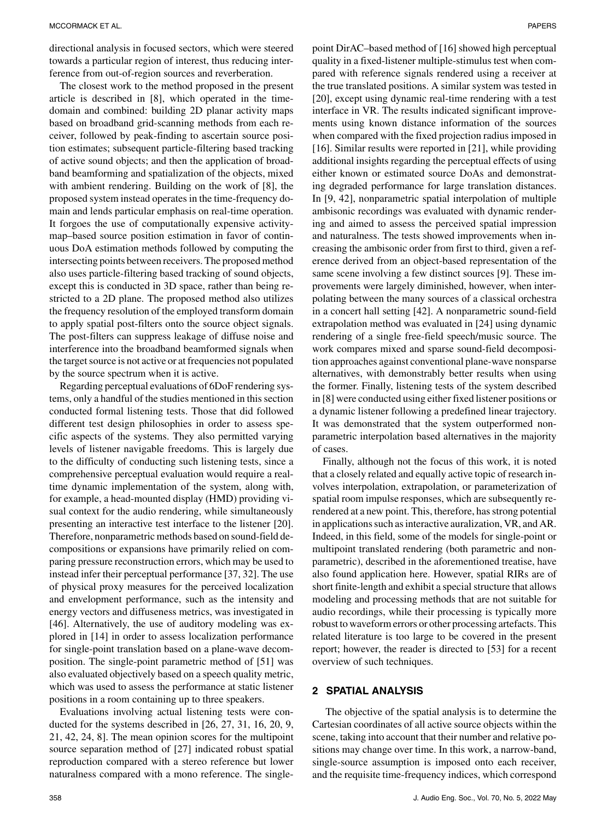directional analysis in focused sectors, which were steered towards a particular region of interest, thus reducing interference from out-of-region sources and reverberation.

The closest work to the method proposed in the present article is described in [8], which operated in the timedomain and combined: building 2D planar activity maps based on broadband grid-scanning methods from each receiver, followed by peak-finding to ascertain source position estimates; subsequent particle-filtering based tracking of active sound objects; and then the application of broadband beamforming and spatialization of the objects, mixed with ambient rendering. Building on the work of [8], the proposed system instead operates in the time-frequency domain and lends particular emphasis on real-time operation. It forgoes the use of computationally expensive activitymap–based source position estimation in favor of continuous DoA estimation methods followed by computing the intersecting points between receivers. The proposed method also uses particle-filtering based tracking of sound objects, except this is conducted in 3D space, rather than being restricted to a 2D plane. The proposed method also utilizes the frequency resolution of the employed transform domain to apply spatial post-filters onto the source object signals. The post-filters can suppress leakage of diffuse noise and interference into the broadband beamformed signals when the target source is not active or at frequencies not populated by the source spectrum when it is active.

Regarding perceptual evaluations of 6DoF rendering systems, only a handful of the studies mentioned in this section conducted formal listening tests. Those that did followed different test design philosophies in order to assess specific aspects of the systems. They also permitted varying levels of listener navigable freedoms. This is largely due to the difficulty of conducting such listening tests, since a comprehensive perceptual evaluation would require a realtime dynamic implementation of the system, along with, for example, a head-mounted display (HMD) providing visual context for the audio rendering, while simultaneously presenting an interactive test interface to the listener [20]. Therefore, nonparametric methods based on sound-field decompositions or expansions have primarily relied on comparing pressure reconstruction errors, which may be used to instead infer their perceptual performance [37, 32]. The use of physical proxy measures for the perceived localization and envelopment performance, such as the intensity and energy vectors and diffuseness metrics, was investigated in [46]. Alternatively, the use of auditory modeling was explored in [14] in order to assess localization performance for single-point translation based on a plane-wave decomposition. The single-point parametric method of [51] was also evaluated objectively based on a speech quality metric, which was used to assess the performance at static listener positions in a room containing up to three speakers.

Evaluations involving actual listening tests were conducted for the systems described in [26, 27, 31, 16, 20, 9, 21, 42, 24, 8]. The mean opinion scores for the multipoint source separation method of [27] indicated robust spatial reproduction compared with a stereo reference but lower naturalness compared with a mono reference. The single-

point DirAC–based method of [16] showed high perceptual quality in a fixed-listener multiple-stimulus test when compared with reference signals rendered using a receiver at the true translated positions. A similar system was tested in [20], except using dynamic real-time rendering with a test interface in VR. The results indicated significant improvements using known distance information of the sources when compared with the fixed projection radius imposed in [16]. Similar results were reported in [21], while providing additional insights regarding the perceptual effects of using either known or estimated source DoAs and demonstrating degraded performance for large translation distances. In [9, 42], nonparametric spatial interpolation of multiple ambisonic recordings was evaluated with dynamic rendering and aimed to assess the perceived spatial impression and naturalness. The tests showed improvements when increasing the ambisonic order from first to third, given a reference derived from an object-based representation of the same scene involving a few distinct sources [9]. These improvements were largely diminished, however, when interpolating between the many sources of a classical orchestra in a concert hall setting [42]. A nonparametric sound-field extrapolation method was evaluated in [24] using dynamic rendering of a single free-field speech/music source. The work compares mixed and sparse sound-field decomposition approaches against conventional plane-wave nonsparse alternatives, with demonstrably better results when using the former. Finally, listening tests of the system described in [8] were conducted using either fixed listener positions or a dynamic listener following a predefined linear trajectory. It was demonstrated that the system outperformed nonparametric interpolation based alternatives in the majority of cases.

Finally, although not the focus of this work, it is noted that a closely related and equally active topic of research involves interpolation, extrapolation, or parameterization of spatial room impulse responses, which are subsequently rerendered at a new point. This, therefore, has strong potential in applications such as interactive auralization, VR, and AR. Indeed, in this field, some of the models for single-point or multipoint translated rendering (both parametric and nonparametric), described in the aforementioned treatise, have also found application here. However, spatial RIRs are of short finite-length and exhibit a special structure that allows modeling and processing methods that are not suitable for audio recordings, while their processing is typically more robust to waveform errors or other processing artefacts. This related literature is too large to be covered in the present report; however, the reader is directed to [53] for a recent overview of such techniques.

#### **2 SPATIAL ANALYSIS**

The objective of the spatial analysis is to determine the Cartesian coordinates of all active source objects within the scene, taking into account that their number and relative positions may change over time. In this work, a narrow-band, single-source assumption is imposed onto each receiver, and the requisite time-frequency indices, which correspond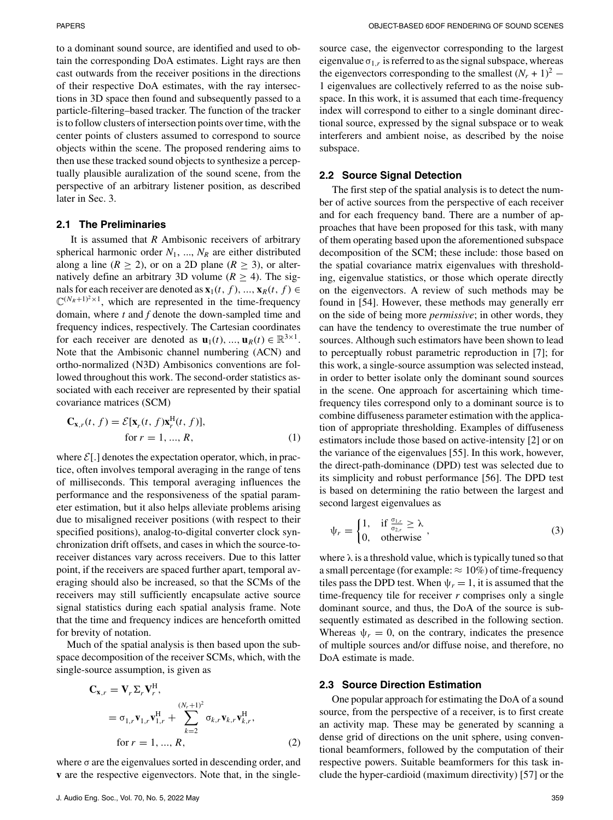to a dominant sound source, are identified and used to obtain the corresponding DoA estimates. Light rays are then cast outwards from the receiver positions in the directions of their respective DoA estimates, with the ray intersections in 3D space then found and subsequently passed to a particle-filtering–based tracker. The function of the tracker is to follow clusters of intersection points over time, with the center points of clusters assumed to correspond to source objects within the scene. The proposed rendering aims to then use these tracked sound objects to synthesize a perceptually plausible auralization of the sound scene, from the perspective of an arbitrary listener position, as described later in Sec. 3.

### **2.1 The Preliminaries**

It is assumed that *R* Ambisonic receivers of arbitrary spherical harmonic order  $N_1$ , ...,  $N_R$  are either distributed along a line ( $R \ge 2$ ), or on a 2D plane ( $R \ge 3$ ), or alternatively define an arbitrary 3D volume ( $R \ge 4$ ). The signals for each receiver are denoted as  $\mathbf{x}_1(t, f)$ , ...,  $\mathbf{x}_R(t, f) \in$  $\mathbb{C}^{(N_R+1)^2\times 1}$ , which are represented in the time-frequency domain, where *t* and *f* denote the down-sampled time and frequency indices, respectively. The Cartesian coordinates for each receiver are denoted as  $\mathbf{u}_1(t), \dots, \mathbf{u}_R(t) \in \mathbb{R}^{3 \times 1}$ . Note that the Ambisonic channel numbering (ACN) and ortho-normalized (N3D) Ambisonics conventions are followed throughout this work. The second-order statistics associated with each receiver are represented by their spatial covariance matrices (SCM)

$$
\mathbf{C}_{\mathbf{x},r}(t,f) = \mathcal{E}[\mathbf{x}_r(t,f)\mathbf{x}_r^{\mathrm{H}}(t,f)],
$$
  
for  $r = 1, ..., R,$  (1)

where  $\mathcal{E}[\cdot]$  denotes the expectation operator, which, in practice, often involves temporal averaging in the range of tens of milliseconds. This temporal averaging influences the performance and the responsiveness of the spatial parameter estimation, but it also helps alleviate problems arising due to misaligned receiver positions (with respect to their specified positions), analog-to-digital converter clock synchronization drift offsets, and cases in which the source-toreceiver distances vary across receivers. Due to this latter point, if the receivers are spaced further apart, temporal averaging should also be increased, so that the SCMs of the receivers may still sufficiently encapsulate active source signal statistics during each spatial analysis frame. Note that the time and frequency indices are henceforth omitted for brevity of notation.

Much of the spatial analysis is then based upon the subspace decomposition of the receiver SCMs, which, with the single-source assumption, is given as

$$
\mathbf{C}_{\mathbf{x},r} = \mathbf{V}_r \Sigma_r \mathbf{V}_r^{\mathrm{H}},
$$
  
=  $\sigma_{1,r} \mathbf{v}_{1,r} \mathbf{v}_{1,r}^{\mathrm{H}} + \sum_{k=2}^{(N_r+1)^2} \sigma_{k,r} \mathbf{v}_{k,r} \mathbf{v}_{k,r}^{\mathrm{H}},$   
for  $r = 1, ..., R,$  (2)

where  $\sigma$  are the eigenvalues sorted in descending order, and **v** are the respective eigenvectors. Note that, in the singlesource case, the eigenvector corresponding to the largest eigenvalue  $\sigma_{1,r}$  is referred to as the signal subspace, whereas the eigenvectors corresponding to the smallest  $(N_r + 1)^2$  – 1 eigenvalues are collectively referred to as the noise subspace. In this work, it is assumed that each time-frequency index will correspond to either to a single dominant directional source, expressed by the signal subspace or to weak interferers and ambient noise, as described by the noise subspace.

#### **2.2 Source Signal Detection**

The first step of the spatial analysis is to detect the number of active sources from the perspective of each receiver and for each frequency band. There are a number of approaches that have been proposed for this task, with many of them operating based upon the aforementioned subspace decomposition of the SCM; these include: those based on the spatial covariance matrix eigenvalues with thresholding, eigenvalue statistics, or those which operate directly on the eigenvectors. A review of such methods may be found in [54]. However, these methods may generally err on the side of being more *permissive*; in other words, they can have the tendency to overestimate the true number of sources. Although such estimators have been shown to lead to perceptually robust parametric reproduction in [7]; for this work, a single-source assumption was selected instead, in order to better isolate only the dominant sound sources in the scene. One approach for ascertaining which timefrequency tiles correspond only to a dominant source is to combine diffuseness parameter estimation with the application of appropriate thresholding. Examples of diffuseness estimators include those based on active-intensity [2] or on the variance of the eigenvalues [55]. In this work, however, the direct-path-dominance (DPD) test was selected due to its simplicity and robust performance [56]. The DPD test is based on determining the ratio between the largest and second largest eigenvalues as

$$
\psi_r = \begin{cases} 1, & \text{if } \frac{\sigma_{1,r}}{\sigma_{2,r}} \ge \lambda \\ 0, & \text{otherwise} \end{cases},
$$
 (3)

where  $\lambda$  is a threshold value, which is typically tuned so that a small percentage (for example:  $\approx 10\%$ ) of time-frequency tiles pass the DPD test. When  $\psi_r = 1$ , it is assumed that the time-frequency tile for receiver *r* comprises only a single dominant source, and thus, the DoA of the source is subsequently estimated as described in the following section. Whereas  $\psi_r = 0$ , on the contrary, indicates the presence of multiple sources and/or diffuse noise, and therefore, no DoA estimate is made.

## **2.3 Source Direction Estimation**

One popular approach for estimating the DoA of a sound source, from the perspective of a receiver, is to first create an activity map. These may be generated by scanning a dense grid of directions on the unit sphere, using conventional beamformers, followed by the computation of their respective powers. Suitable beamformers for this task include the hyper-cardioid (maximum directivity) [57] or the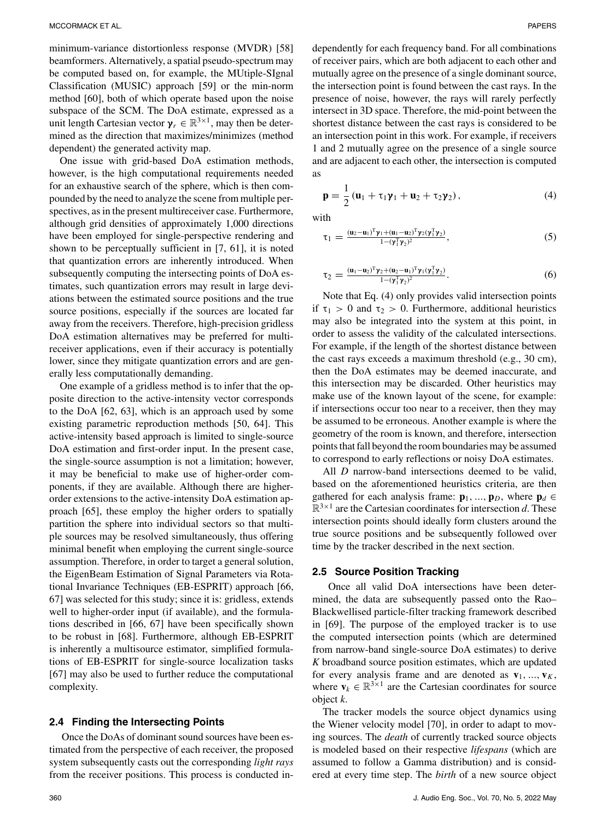minimum-variance distortionless response (MVDR) [58] beamformers. Alternatively, a spatial pseudo-spectrum may be computed based on, for example, the MUtiple-SIgnal Classification (MUSIC) approach [59] or the min-norm method [60], both of which operate based upon the noise subspace of the SCM. The DoA estimate, expressed as a unit length Cartesian vector  $\gamma_r \in \mathbb{R}^{3 \times 1}$ , may then be determined as the direction that maximizes/minimizes (method dependent) the generated activity map.

One issue with grid-based DoA estimation methods, however, is the high computational requirements needed for an exhaustive search of the sphere, which is then compounded by the need to analyze the scene from multiple perspectives, as in the present multireceiver case. Furthermore, although grid densities of approximately 1,000 directions have been employed for single-perspective rendering and shown to be perceptually sufficient in [7, 61], it is noted that quantization errors are inherently introduced. When subsequently computing the intersecting points of DoA estimates, such quantization errors may result in large deviations between the estimated source positions and the true source positions, especially if the sources are located far away from the receivers. Therefore, high-precision gridless DoA estimation alternatives may be preferred for multireceiver applications, even if their accuracy is potentially lower, since they mitigate quantization errors and are generally less computationally demanding.

One example of a gridless method is to infer that the opposite direction to the active-intensity vector corresponds to the DoA [62, 63], which is an approach used by some existing parametric reproduction methods [50, 64]. This active-intensity based approach is limited to single-source DoA estimation and first-order input. In the present case, the single-source assumption is not a limitation; however, it may be beneficial to make use of higher-order components, if they are available. Although there are higherorder extensions to the active-intensity DoA estimation approach [65], these employ the higher orders to spatially partition the sphere into individual sectors so that multiple sources may be resolved simultaneously, thus offering minimal benefit when employing the current single-source assumption. Therefore, in order to target a general solution, the EigenBeam Estimation of Signal Parameters via Rotational Invariance Techniques (EB-ESPRIT) approach [66, 67] was selected for this study; since it is: gridless, extends well to higher-order input (if available), and the formulations described in [66, 67] have been specifically shown to be robust in [68]. Furthermore, although EB-ESPRIT is inherently a multisource estimator, simplified formulations of EB-ESPRIT for single-source localization tasks [67] may also be used to further reduce the computational complexity.

#### **2.4 Finding the Intersecting Points**

Once the DoAs of dominant sound sources have been estimated from the perspective of each receiver, the proposed system subsequently casts out the corresponding *light rays* from the receiver positions. This process is conducted independently for each frequency band. For all combinations of receiver pairs, which are both adjacent to each other and mutually agree on the presence of a single dominant source, the intersection point is found between the cast rays. In the presence of noise, however, the rays will rarely perfectly intersect in 3D space. Therefore, the mid-point between the shortest distance between the cast rays is considered to be an intersection point in this work. For example, if receivers 1 and 2 mutually agree on the presence of a single source and are adjacent to each other, the intersection is computed as

$$
\mathbf{p} = \frac{1}{2} \left( \mathbf{u}_1 + \tau_1 \mathbf{y}_1 + \mathbf{u}_2 + \tau_2 \mathbf{y}_2 \right), \tag{4}
$$

with

$$
\tau_1 = \frac{(\mathbf{u}_2 - \mathbf{u}_1)^T \mathbf{y}_1 + (\mathbf{u}_1 - \mathbf{u}_2)^T \mathbf{y}_2 (\mathbf{y}_1^T \mathbf{y}_2)}{1 - (\mathbf{y}_1^T \mathbf{y}_2)^2},\tag{5}
$$

$$
\tau_2 = \frac{(\mathbf{u}_1 - \mathbf{u}_2)^T \mathbf{y}_2 + (\mathbf{u}_2 - \mathbf{u}_1)^T \mathbf{y}_1 (\mathbf{y}_1^T \mathbf{y}_2)}{1 - (\mathbf{y}_1^T \mathbf{y}_2)^2}.
$$
(6)

Note that Eq. (4) only provides valid intersection points if  $\tau_1 > 0$  and  $\tau_2 > 0$ . Furthermore, additional heuristics may also be integrated into the system at this point, in order to assess the validity of the calculated intersections. For example, if the length of the shortest distance between the cast rays exceeds a maximum threshold (e.g., 30 cm), then the DoA estimates may be deemed inaccurate, and this intersection may be discarded. Other heuristics may make use of the known layout of the scene, for example: if intersections occur too near to a receiver, then they may be assumed to be erroneous. Another example is where the geometry of the room is known, and therefore, intersection points that fall beyond the room boundaries may be assumed to correspond to early reflections or noisy DoA estimates.

All *D* narrow-band intersections deemed to be valid, based on the aforementioned heuristics criteria, are then gathered for each analysis frame:  $\mathbf{p}_1, \dots, \mathbf{p}_D$ , where  $\mathbf{p}_d \in$  $\mathbb{R}^{3\times 1}$  are the Cartesian coordinates for intersection *d*. These intersection points should ideally form clusters around the true source positions and be subsequently followed over time by the tracker described in the next section.

#### **2.5 Source Position Tracking**

Once all valid DoA intersections have been determined, the data are subsequently passed onto the Rao– Blackwellised particle-filter tracking framework described in [69]. The purpose of the employed tracker is to use the computed intersection points (which are determined from narrow-band single-source DoA estimates) to derive *K* broadband source position estimates, which are updated for every analysis frame and are denoted as  $\mathbf{v}_1, \dots, \mathbf{v}_K$ , where  $\mathbf{v}_k \in \mathbb{R}^{3 \times 1}$  are the Cartesian coordinates for source object *k*.

The tracker models the source object dynamics using the Wiener velocity model [70], in order to adapt to moving sources. The *death* of currently tracked source objects is modeled based on their respective *lifespans* (which are assumed to follow a Gamma distribution) and is considered at every time step. The *birth* of a new source object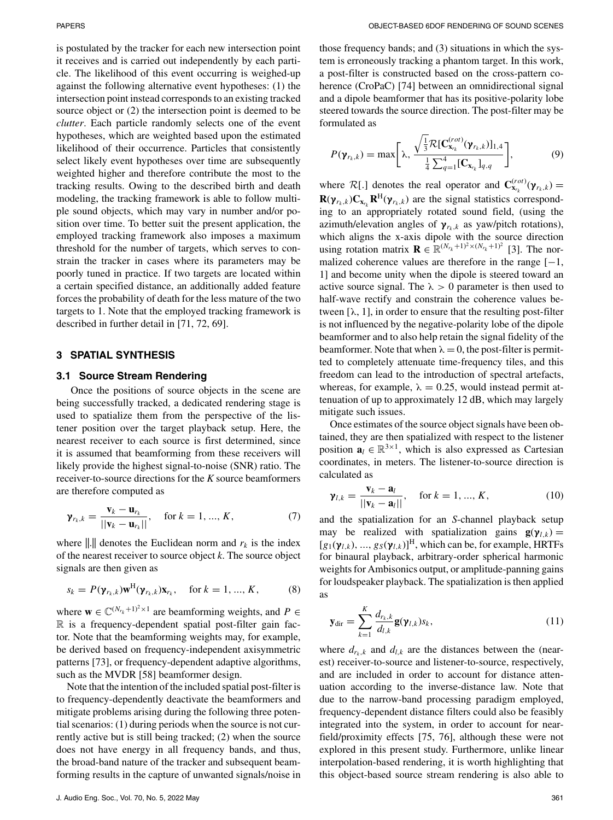is postulated by the tracker for each new intersection point it receives and is carried out independently by each particle. The likelihood of this event occurring is weighed-up against the following alternative event hypotheses: (1) the intersection point instead corresponds to an existing tracked source object or (2) the intersection point is deemed to be *clutter*. Each particle randomly selects one of the event hypotheses, which are weighted based upon the estimated likelihood of their occurrence. Particles that consistently select likely event hypotheses over time are subsequently weighted higher and therefore contribute the most to the tracking results. Owing to the described birth and death modeling, the tracking framework is able to follow multiple sound objects, which may vary in number and/or position over time. To better suit the present application, the employed tracking framework also imposes a maximum threshold for the number of targets, which serves to constrain the tracker in cases where its parameters may be poorly tuned in practice. If two targets are located within a certain specified distance, an additionally added feature forces the probability of death for the less mature of the two targets to 1. Note that the employed tracking framework is described in further detail in [71, 72, 69].

#### **3 SPATIAL SYNTHESIS**

#### **3.1 Source Stream Rendering**

Once the positions of source objects in the scene are being successfully tracked, a dedicated rendering stage is used to spatialize them from the perspective of the listener position over the target playback setup. Here, the nearest receiver to each source is first determined, since it is assumed that beamforming from these receivers will likely provide the highest signal-to-noise (SNR) ratio. The receiver-to-source directions for the *K* source beamformers are therefore computed as

$$
\gamma_{r_k,k} = \frac{\mathbf{v}_k - \mathbf{u}_{r_k}}{||\mathbf{v}_k - \mathbf{u}_{r_k}||}, \quad \text{for } k = 1, ..., K,
$$
 (7)

where  $\| \cdot \|$  denotes the Euclidean norm and  $r_k$  is the index of the nearest receiver to source object *k*. The source object signals are then given as

$$
s_k = P(\boldsymbol{\gamma}_{r_k,k})\mathbf{w}^{\mathrm{H}}(\boldsymbol{\gamma}_{r_k,k})\mathbf{x}_{r_k}, \quad \text{for } k = 1, ..., K,
$$
 (8)

where  $\mathbf{w} \in \mathbb{C}^{(N_{r_k}+1)^2 \times 1}$  are beamforming weights, and  $P \in$  $\mathbb R$  is a frequency-dependent spatial post-filter gain factor. Note that the beamforming weights may, for example, be derived based on frequency-independent axisymmetric patterns [73], or frequency-dependent adaptive algorithms, such as the MVDR [58] beamformer design.

Note that the intention of the included spatial post-filter is to frequency-dependently deactivate the beamformers and mitigate problems arising during the following three potential scenarios: (1) during periods when the source is not currently active but is still being tracked; (2) when the source does not have energy in all frequency bands, and thus, the broad-band nature of the tracker and subsequent beamforming results in the capture of unwanted signals/noise in those frequency bands; and (3) situations in which the system is erroneously tracking a phantom target. In this work, a post-filter is constructed based on the cross-pattern coherence (CroPaC) [74] between an omnidirectional signal and a dipole beamformer that has its positive-polarity lobe steered towards the source direction. The post-filter may be formulated as

$$
P(\boldsymbol{\gamma}_{r_k,k}) = \max\bigg[\lambda, \frac{\sqrt{\frac{1}{3}}\mathcal{R}[\mathbf{C}_{\mathbf{x}_{r_k}}^{(rot)}(\boldsymbol{\gamma}_{r_k,k})]_{1,4}}{\frac{1}{4}\sum_{q=1}^4[\mathbf{C}_{\mathbf{x}_{r_k}}]_{q,q}}\bigg],\tag{9}
$$

where  $\mathcal{R}[.]$  denotes the real operator and  $\mathbf{C}_{\mathbf{x}_r}^{(rot)}(\mathbf{y}_{r_k,k}) =$  $\mathbf{R}(\gamma_{r_k,k})\mathbf{C}_{\mathbf{x}_{r_k}}\mathbf{R}^{\mathrm{H}}(\gamma_{r_k,k})$  are the signal statistics corresponding to an appropriately rotated sound field, (using the azimuth/elevation angles of  $\gamma_{r_k,k}$  as yaw/pitch rotations), which aligns the x-axis dipole with the source direction using rotation matrix  $\mathbf{R} \in \mathbb{R}^{(N_{r_k}+1)^2 \times (N_{r_k}+1)^2}$  [3]. The normalized coherence values are therefore in the range  $[-1,$ 1] and become unity when the dipole is steered toward an active source signal. The  $\lambda > 0$  parameter is then used to half-wave rectify and constrain the coherence values between  $[\lambda, 1]$ , in order to ensure that the resulting post-filter is not influenced by the negative-polarity lobe of the dipole beamformer and to also help retain the signal fidelity of the beamformer. Note that when  $\lambda = 0$ , the post-filter is permitted to completely attenuate time-frequency tiles, and this freedom can lead to the introduction of spectral artefacts, whereas, for example,  $\lambda = 0.25$ , would instead permit attenuation of up to approximately 12 dB, which may largely mitigate such issues.

Once estimates of the source object signals have been obtained, they are then spatialized with respect to the listener position  $\mathbf{a}_l \in \mathbb{R}^{3 \times 1}$ , which is also expressed as Cartesian coordinates, in meters. The listener-to-source direction is calculated as

$$
\gamma_{l,k} = \frac{\mathbf{v}_k - \mathbf{a}_l}{\|\mathbf{v}_k - \mathbf{a}_l\|}, \quad \text{for } k = 1, ..., K,
$$
\n(10)

and the spatialization for an *S*-channel playback setup may be realized with spatialization gains  $\mathbf{g}(\gamma_{l,k}) =$  $[g_1(\gamma_{l,k}), ..., g_S(\gamma_{l,k})]^H$ , which can be, for example, HRTFs for binaural playback, arbitrary-order spherical harmonic weights for Ambisonics output, or amplitude-panning gains for loudspeaker playback. The spatialization is then applied as

$$
\mathbf{y}_{\text{dir}} = \sum_{k=1}^{K} \frac{d_{r_k,k}}{d_{l,k}} \mathbf{g}(\mathbf{y}_{l,k}) s_k,
$$
\n(11)

where  $d_{r_k,k}$  and  $d_{l,k}$  are the distances between the (nearest) receiver-to-source and listener-to-source, respectively, and are included in order to account for distance attenuation according to the inverse-distance law. Note that due to the narrow-band processing paradigm employed, frequency-dependent distance filters could also be feasibly integrated into the system, in order to account for nearfield/proximity effects [75, 76], although these were not explored in this present study. Furthermore, unlike linear interpolation-based rendering, it is worth highlighting that this object-based source stream rendering is also able to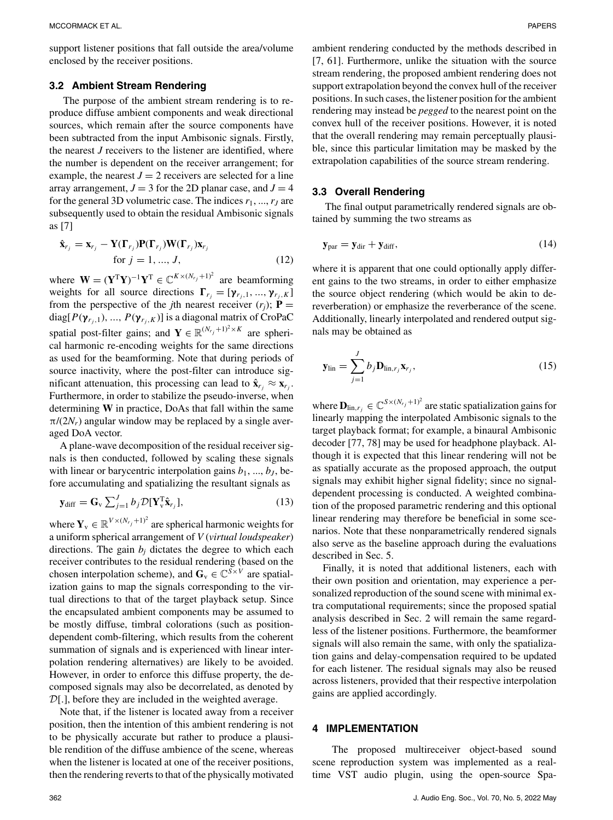support listener positions that fall outside the area/volume enclosed by the receiver positions.

## **3.2 Ambient Stream Rendering**

The purpose of the ambient stream rendering is to reproduce diffuse ambient components and weak directional sources, which remain after the source components have been subtracted from the input Ambisonic signals. Firstly, the nearest *J* receivers to the listener are identified, where the number is dependent on the receiver arrangement; for example, the nearest  $J = 2$  receivers are selected for a line array arrangement,  $J = 3$  for the 2D planar case, and  $J = 4$ for the general 3D volumetric case. The indices  $r_1, ..., r_J$  are subsequently used to obtain the residual Ambisonic signals as [7]

$$
\hat{\mathbf{x}}_{r_j} = \mathbf{x}_{r_j} - \mathbf{Y}(\mathbf{\Gamma}_{r_j})\mathbf{P}(\mathbf{\Gamma}_{r_j})\mathbf{W}(\mathbf{\Gamma}_{r_j})\mathbf{x}_{r_j}
$$
\n
$$
\text{for } j = 1, ..., J,
$$
\n(12)

where  $\mathbf{W} = (\mathbf{Y}^T \mathbf{Y})^{-1} \mathbf{Y}^T \in \mathbb{C}^{K \times (N_{r_j} + 1)^2}$  are beamforming weights for all source directions  $\mathbf{\Gamma}_{r_j} = [\mathbf{\gamma}_{r_j,1},...,\mathbf{\gamma}_{r_j,K}]$ from the perspective of the *j*th nearest receiver  $(r_i)$ ;  $\mathbf{P} =$ diag[ $P(\gamma_{r_i,1}), ..., P(\gamma_{r_i,K})$ ] is a diagonal matrix of CroPaC spatial post-filter gains; and **Y**  $\in \mathbb{R}^{(N_{r_j}+1)^2 \times K}$  are spherical harmonic re-encoding weights for the same directions as used for the beamforming. Note that during periods of source inactivity, where the post-filter can introduce significant attenuation, this processing can lead to  $\hat{\mathbf{x}}_{r_i} \approx \mathbf{x}_{r_i}$ . Furthermore, in order to stabilize the pseudo-inverse, when determining **W** in practice, DoAs that fall within the same  $\pi/(2N_r)$  angular window may be replaced by a single averaged DoA vector.

A plane-wave decomposition of the residual receiver signals is then conducted, followed by scaling these signals with linear or barycentric interpolation gains  $b_1$ , ...,  $b_J$ , before accumulating and spatializing the resultant signals as

$$
\mathbf{y}_{\text{diff}} = \mathbf{G}_{\text{v}} \sum_{j=1}^{J} b_j \mathcal{D}[\mathbf{Y}_{\text{v}}^{\text{T}} \hat{\mathbf{x}}_{r_j}],
$$
\n(13)

where  $\mathbf{Y}_{v} \in \mathbb{R}^{V \times (N_{r_j} + 1)^2}$  are spherical harmonic weights for a uniform spherical arrangement of *V* (*virtual loudspeaker*) directions. The gain  $b_i$  dictates the degree to which each receiver contributes to the residual rendering (based on the chosen interpolation scheme), and  $\mathbf{G}_v \in \mathbb{C}^{S \times V}$  are spatialization gains to map the signals corresponding to the virtual directions to that of the target playback setup. Since the encapsulated ambient components may be assumed to be mostly diffuse, timbral colorations (such as positiondependent comb-filtering, which results from the coherent summation of signals and is experienced with linear interpolation rendering alternatives) are likely to be avoided. However, in order to enforce this diffuse property, the decomposed signals may also be decorrelated, as denoted by  $\mathcal{D}[\cdot]$ , before they are included in the weighted average.

Note that, if the listener is located away from a receiver position, then the intention of this ambient rendering is not to be physically accurate but rather to produce a plausible rendition of the diffuse ambience of the scene, whereas when the listener is located at one of the receiver positions, then the rendering reverts to that of the physically motivated ambient rendering conducted by the methods described in [7, 61]. Furthermore, unlike the situation with the source stream rendering, the proposed ambient rendering does not support extrapolation beyond the convex hull of the receiver positions. In such cases, the listener position for the ambient rendering may instead be *pegged* to the nearest point on the convex hull of the receiver positions. However, it is noted that the overall rendering may remain perceptually plausible, since this particular limitation may be masked by the extrapolation capabilities of the source stream rendering.

#### **3.3 Overall Rendering**

The final output parametrically rendered signals are obtained by summing the two streams as

$$
\mathbf{y}_{\text{par}} = \mathbf{y}_{\text{dir}} + \mathbf{y}_{\text{diff}},\tag{14}
$$

where it is apparent that one could optionally apply different gains to the two streams, in order to either emphasize the source object rendering (which would be akin to dereverberation) or emphasize the reverberance of the scene. Additionally, linearly interpolated and rendered output signals may be obtained as

$$
\mathbf{y}_{\text{lin}} = \sum_{j=1}^{J} b_j \mathbf{D}_{\text{lin}, r_j} \mathbf{x}_{r_j},
$$
\n(15)

where  $\mathbf{D}_{\text{lin},r_j} \in \mathbb{C}^{S \times (N_{r_j} + 1)^2}$  are static spatialization gains for linearly mapping the interpolated Ambisonic signals to the target playback format; for example, a binaural Ambisonic decoder [77, 78] may be used for headphone playback. Although it is expected that this linear rendering will not be as spatially accurate as the proposed approach, the output signals may exhibit higher signal fidelity; since no signaldependent processing is conducted. A weighted combination of the proposed parametric rendering and this optional linear rendering may therefore be beneficial in some scenarios. Note that these nonparametrically rendered signals also serve as the baseline approach during the evaluations described in Sec. 5.

Finally, it is noted that additional listeners, each with their own position and orientation, may experience a personalized reproduction of the sound scene with minimal extra computational requirements; since the proposed spatial analysis described in Sec. 2 will remain the same regardless of the listener positions. Furthermore, the beamformer signals will also remain the same, with only the spatialization gains and delay-compensation required to be updated for each listener. The residual signals may also be reused across listeners, provided that their respective interpolation gains are applied accordingly.

#### **4 IMPLEMENTATION**

The proposed multireceiver object-based sound scene reproduction system was implemented as a realtime VST audio plugin, using the open-source Spa-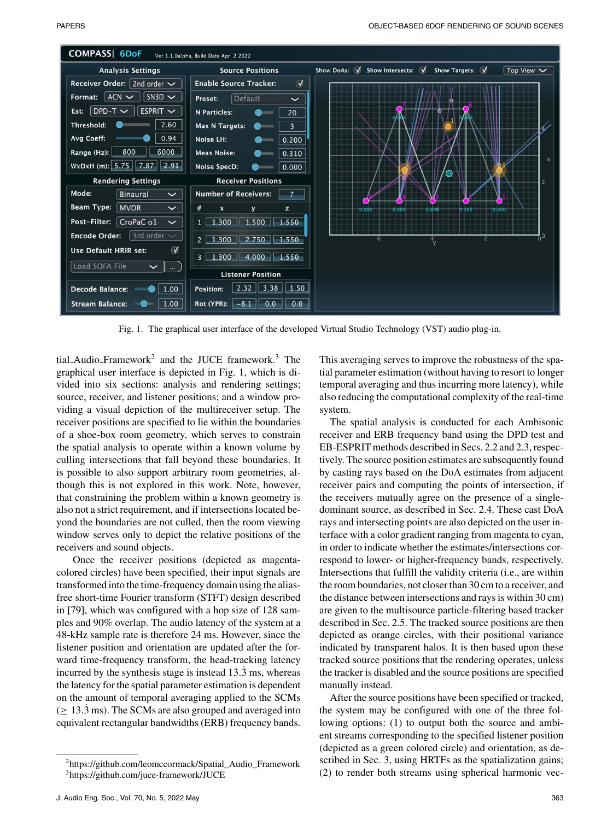

Fig. 1. The graphical user interface of the developed Virtual Studio Technology (VST) audio plug-in.

tial\_Audio\_Framework<sup>2</sup> and the JUCE framework.<sup>3</sup> The graphical user interface is depicted in Fig. 1, which is divided into six sections: analysis and rendering settings; source, receiver, and listener positions; and a window providing a visual depiction of the multireceiver setup. The receiver positions are specified to lie within the boundaries of a shoe-box room geometry, which serves to constrain the spatial analysis to operate within a known volume by culling intersections that fall beyond these boundaries. It is possible to also support arbitrary room geometries, although this is not explored in this work. Note, however, that constraining the problem within a known geometry is also not a strict requirement, and if intersections located beyond the boundaries are not culled, then the room viewing window serves only to depict the relative positions of the receivers and sound objects.

Once the receiver positions (depicted as magentacolored circles) have been specified, their input signals are transformed into the time-frequency domain using the aliasfree short-time Fourier transform (STFT) design described in [79], which was configured with a hop size of 128 samples and 90% overlap. The audio latency of the system at a 48-kHz sample rate is therefore 24 ms. However, since the listener position and orientation are updated after the forward time-frequency transform, the head-tracking latency incurred by the synthesis stage is instead  $13.\overline{3}$  ms, whereas the latency for the spatial parameter estimation is dependent on the amount of temporal averaging applied to the SCMs  $($   $\geq$  13.3 ms). The SCMs are also grouped and averaged into equivalent rectangular bandwidths (ERB) frequency bands.

This averaging serves to improve the robustness of the spatial parameter estimation (without having to resort to longer temporal averaging and thus incurring more latency), while also reducing the computational complexity of the real-time system.

The spatial analysis is conducted for each Ambisonic receiver and ERB frequency band using the DPD test and EB-ESPRIT methods described in Secs. 2.2 and 2.3, respectively. The source position estimates are subsequently found by casting rays based on the DoA estimates from adjacent receiver pairs and computing the points of intersection, if the receivers mutually agree on the presence of a singledominant source, as described in Sec. 2.4. These cast DoA rays and intersecting points are also depicted on the user interface with a color gradient ranging from magenta to cyan, in order to indicate whether the estimates/intersections correspond to lower- or higher-frequency bands, respectively. Intersections that fulfill the validity criteria (i.e., are within the room boundaries, not closer than 30 cm to a receiver, and the distance between intersections and rays is within 30 cm) are given to the multisource particle-filtering based tracker described in Sec. 2.5. The tracked source positions are then depicted as orange circles, with their positional variance indicated by transparent halos. It is then based upon these tracked source positions that the rendering operates, unless the tracker is disabled and the source positions are specified manually instead.

After the source positions have been specified or tracked, the system may be configured with one of the three following options: (1) to output both the source and ambient streams corresponding to the specified listener position (depicted as a green colored circle) and orientation, as described in Sec. 3, using HRTFs as the spatialization gains; (2) to render both streams using spherical harmonic vec-

[<sup>2</sup>https://github.com/leomccormack/Spatial\\_Audio\\_Framework](egingroup count@ 37
elax 
elax uccode `~count@ uppercase {gdef 0{${sim }{}$}}endgroup setbox 0hbox {0}dimen z@ ht z@ 020https://github.com/leomccormack/Spatial_Audio_Framework) [3https://github.com/juce-framework/JUCE](https://github.com/juce-framework/JUCE)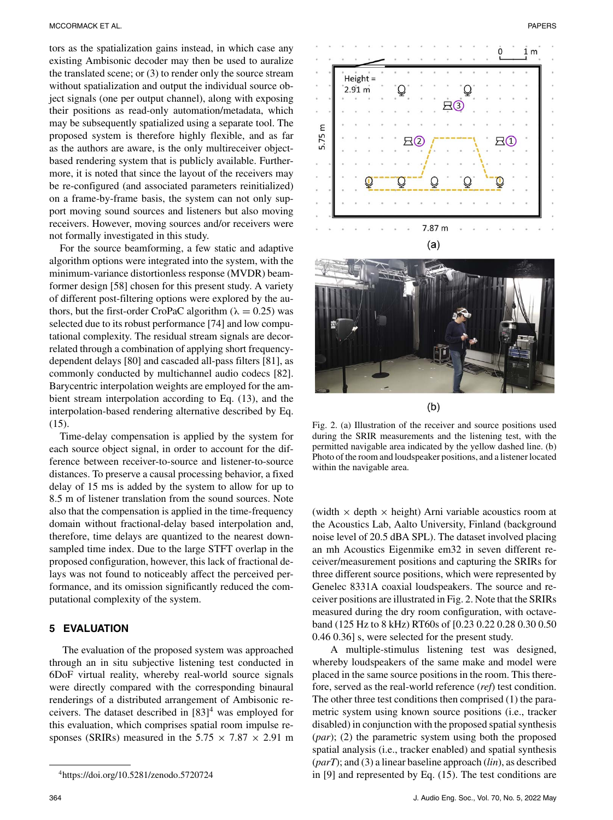tors as the spatialization gains instead, in which case any existing Ambisonic decoder may then be used to auralize the translated scene; or (3) to render only the source stream without spatialization and output the individual source object signals (one per output channel), along with exposing their positions as read-only automation/metadata, which may be subsequently spatialized using a separate tool. The proposed system is therefore highly flexible, and as far as the authors are aware, is the only multireceiver objectbased rendering system that is publicly available. Furthermore, it is noted that since the layout of the receivers may be re-configured (and associated parameters reinitialized) on a frame-by-frame basis, the system can not only support moving sound sources and listeners but also moving receivers. However, moving sources and/or receivers were not formally investigated in this study.

For the source beamforming, a few static and adaptive algorithm options were integrated into the system, with the minimum-variance distortionless response (MVDR) beamformer design [58] chosen for this present study. A variety of different post-filtering options were explored by the authors, but the first-order CroPaC algorithm ( $\lambda = 0.25$ ) was selected due to its robust performance [74] and low computational complexity. The residual stream signals are decorrelated through a combination of applying short frequencydependent delays [80] and cascaded all-pass filters [81], as commonly conducted by multichannel audio codecs [82]. Barycentric interpolation weights are employed for the ambient stream interpolation according to Eq. (13), and the interpolation-based rendering alternative described by Eq. (15).

Time-delay compensation is applied by the system for each source object signal, in order to account for the difference between receiver-to-source and listener-to-source distances. To preserve a causal processing behavior, a fixed delay of 15 ms is added by the system to allow for up to 8.5 m of listener translation from the sound sources. Note also that the compensation is applied in the time-frequency domain without fractional-delay based interpolation and, therefore, time delays are quantized to the nearest downsampled time index. Due to the large STFT overlap in the proposed configuration, however, this lack of fractional delays was not found to noticeably affect the perceived performance, and its omission significantly reduced the computational complexity of the system.

### **5 EVALUATION**

The evaluation of the proposed system was approached through an in situ subjective listening test conducted in 6DoF virtual reality, whereby real-world source signals were directly compared with the corresponding binaural renderings of a distributed arrangement of Ambisonic receivers. The dataset described in  $[83]$ <sup>4</sup> was employed for this evaluation, which comprises spatial room impulse responses (SRIRs) measured in the  $5.75 \times 7.87 \times 2.91$  m



 $(b)$ 

Fig. 2. (a) Illustration of the receiver and source positions used during the SRIR measurements and the listening test, with the permitted navigable area indicated by the yellow dashed line. (b) Photo of the room and loudspeaker positions, and a listener located within the navigable area.

(width  $\times$  depth  $\times$  height) Arni variable acoustics room at the Acoustics Lab, Aalto University, Finland (background noise level of 20.5 dBA SPL). The dataset involved placing an mh Acoustics Eigenmike em32 in seven different receiver/measurement positions and capturing the SRIRs for three different source positions, which were represented by Genelec 8331A coaxial loudspeakers. The source and receiver positions are illustrated in Fig. 2. Note that the SRIRs measured during the dry room configuration, with octaveband (125 Hz to 8 kHz) RT60s of [0.23 0.22 0.28 0.30 0.50 0.46 0.36] s, were selected for the present study.

A multiple-stimulus listening test was designed, whereby loudspeakers of the same make and model were placed in the same source positions in the room. This therefore, served as the real-world reference (*ref*) test condition. The other three test conditions then comprised (1) the parametric system using known source positions (i.e., tracker disabled) in conjunction with the proposed spatial synthesis (*par*); (2) the parametric system using both the proposed spatial analysis (i.e., tracker enabled) and spatial synthesis (*parT*); and (3) a linear baseline approach (*lin*), as described in [9] and represented by Eq. (15). The test conditions are

[<sup>4</sup>https://doi.org/10.5281/zenodo.5720724](https://doi.org/10.5281/zenodo.5720724)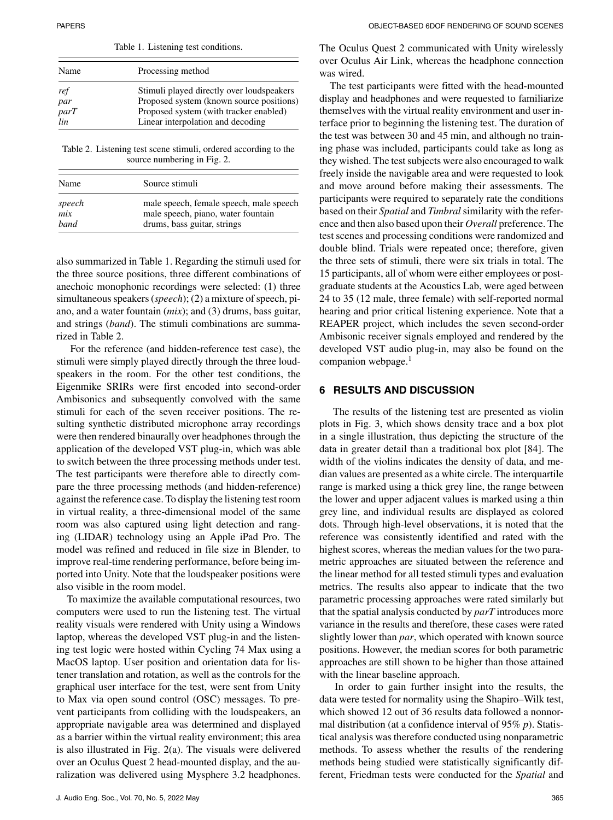| Table 1. Listening test conditions. |                                           |
|-------------------------------------|-------------------------------------------|
| Name                                | Processing method                         |
| ref                                 | Stimuli played directly over loudspeakers |
| par                                 | Proposed system (known source positions)  |
| parT                                | Proposed system (with tracker enabled)    |
| lin                                 | Linear interpolation and decoding         |

Table 2. Listening test scene stimuli, ordered according to the source numbering in Fig. 2.

| Name        | Source stimuli                          |
|-------------|-----------------------------------------|
| speech      | male speech, female speech, male speech |
| mix         | male speech, piano, water fountain      |
| <i>band</i> | drums, bass guitar, strings             |

also summarized in Table 1. Regarding the stimuli used for the three source positions, three different combinations of anechoic monophonic recordings were selected: (1) three simultaneous speakers (*speech*); (2) a mixture of speech, piano, and a water fountain (*mix*); and (3) drums, bass guitar, and strings (*band*). The stimuli combinations are summarized in Table 2.

For the reference (and hidden-reference test case), the stimuli were simply played directly through the three loudspeakers in the room. For the other test conditions, the Eigenmike SRIRs were first encoded into second-order Ambisonics and subsequently convolved with the same stimuli for each of the seven receiver positions. The resulting synthetic distributed microphone array recordings were then rendered binaurally over headphones through the application of the developed VST plug-in, which was able to switch between the three processing methods under test. The test participants were therefore able to directly compare the three processing methods (and hidden-reference) against the reference case. To display the listening test room in virtual reality, a three-dimensional model of the same room was also captured using light detection and ranging (LIDAR) technology using an Apple iPad Pro. The model was refined and reduced in file size in Blender, to improve real-time rendering performance, before being imported into Unity. Note that the loudspeaker positions were also visible in the room model.

To maximize the available computational resources, two computers were used to run the listening test. The virtual reality visuals were rendered with Unity using a Windows laptop, whereas the developed VST plug-in and the listening test logic were hosted within Cycling 74 Max using a MacOS laptop. User position and orientation data for listener translation and rotation, as well as the controls for the graphical user interface for the test, were sent from Unity to Max via open sound control (OSC) messages. To prevent participants from colliding with the loudspeakers, an appropriate navigable area was determined and displayed as a barrier within the virtual reality environment; this area is also illustrated in Fig. 2(a). The visuals were delivered over an Oculus Quest 2 head-mounted display, and the auralization was delivered using Mysphere 3.2 headphones.

The Oculus Quest 2 communicated with Unity wirelessly over Oculus Air Link, whereas the headphone connection was wired.

The test participants were fitted with the head-mounted display and headphones and were requested to familiarize themselves with the virtual reality environment and user interface prior to beginning the listening test. The duration of the test was between 30 and 45 min, and although no training phase was included, participants could take as long as they wished. The test subjects were also encouraged to walk freely inside the navigable area and were requested to look and move around before making their assessments. The participants were required to separately rate the conditions based on their *Spatial* and *Timbral* similarity with the reference and then also based upon their *Overall* preference. The test scenes and processing conditions were randomized and double blind. Trials were repeated once; therefore, given the three sets of stimuli, there were six trials in total. The 15 participants, all of whom were either employees or postgraduate students at the Acoustics Lab, were aged between 24 to 35 (12 male, three female) with self-reported normal hearing and prior critical listening experience. Note that a REAPER project, which includes the seven second-order Ambisonic receiver signals employed and rendered by the developed VST audio plug-in, may also be found on the companion webpage.<sup>1</sup>

## **6 RESULTS AND DISCUSSION**

The results of the listening test are presented as violin plots in Fig. 3, which shows density trace and a box plot in a single illustration, thus depicting the structure of the data in greater detail than a traditional box plot [84]. The width of the violins indicates the density of data, and median values are presented as a white circle. The interquartile range is marked using a thick grey line, the range between the lower and upper adjacent values is marked using a thin grey line, and individual results are displayed as colored dots. Through high-level observations, it is noted that the reference was consistently identified and rated with the highest scores, whereas the median values for the two parametric approaches are situated between the reference and the linear method for all tested stimuli types and evaluation metrics. The results also appear to indicate that the two parametric processing approaches were rated similarly but that the spatial analysis conducted by *parT* introduces more variance in the results and therefore, these cases were rated slightly lower than *par*, which operated with known source positions. However, the median scores for both parametric approaches are still shown to be higher than those attained with the linear baseline approach.

In order to gain further insight into the results, the data were tested for normality using the Shapiro–Wilk test, which showed 12 out of 36 results data followed a nonnormal distribution (at a confidence interval of 95% *p*). Statistical analysis was therefore conducted using nonparametric methods. To assess whether the results of the rendering methods being studied were statistically significantly different, Friedman tests were conducted for the *Spatial* and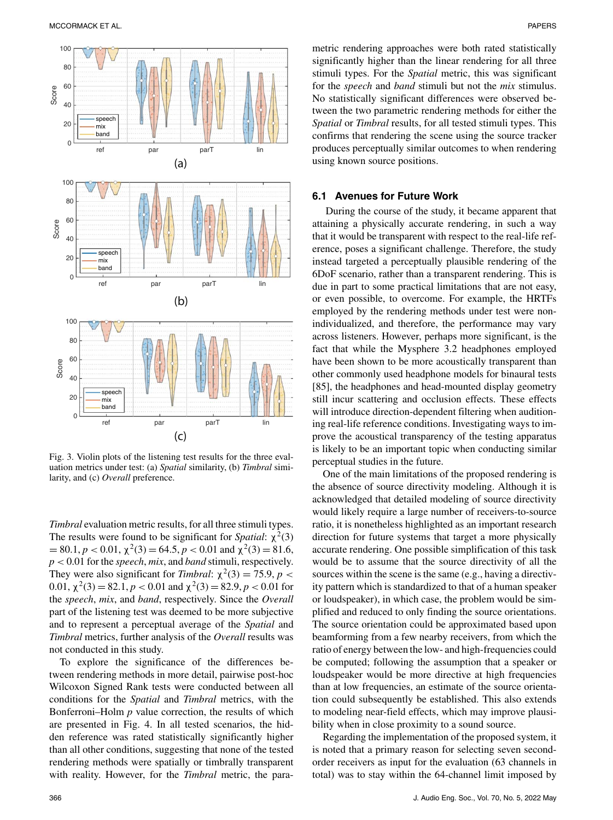

Fig. 3. Violin plots of the listening test results for the three evaluation metrics under test: (a) *Spatial* similarity, (b) *Timbral* similarity, and (c) *Overall* preference.

*Timbral* evaluation metric results, for all three stimuli types. The results were found to be significant for *Spatial*:  $\chi^2(3)$  $= 80.1, p < 0.01, \chi^2(3) = 64.5, p < 0.01$  and  $\chi^2(3) = 81.6$ , *p* < 0.01 for the *speech*, *mix*, and *band* stimuli, respectively. They were also significant for *Timbral*:  $\chi^2(3) = 75.9$ , *p* < 0.01,  $\chi^2(3) = 82.1$ ,  $p < 0.01$  and  $\chi^2(3) = 82.9$ ,  $p < 0.01$  for the *speech*, *mix*, and *band*, respectively. Since the *Overall* part of the listening test was deemed to be more subjective and to represent a perceptual average of the *Spatial* and *Timbral* metrics, further analysis of the *Overall* results was not conducted in this study.

To explore the significance of the differences between rendering methods in more detail, pairwise post-hoc Wilcoxon Signed Rank tests were conducted between all conditions for the *Spatial* and *Timbral* metrics, with the Bonferroni–Holm *p* value correction, the results of which are presented in Fig. 4. In all tested scenarios, the hidden reference was rated statistically significantly higher than all other conditions, suggesting that none of the tested rendering methods were spatially or timbrally transparent with reality. However, for the *Timbral* metric, the parametric rendering approaches were both rated statistically significantly higher than the linear rendering for all three stimuli types. For the *Spatial* metric, this was significant for the *speech* and *band* stimuli but not the *mix* stimulus. No statistically significant differences were observed between the two parametric rendering methods for either the *Spatial* or *Timbral* results, for all tested stimuli types. This confirms that rendering the scene using the source tracker produces perceptually similar outcomes to when rendering using known source positions.

#### **6.1 Avenues for Future Work**

During the course of the study, it became apparent that attaining a physically accurate rendering, in such a way that it would be transparent with respect to the real-life reference, poses a significant challenge. Therefore, the study instead targeted a perceptually plausible rendering of the 6DoF scenario, rather than a transparent rendering. This is due in part to some practical limitations that are not easy, or even possible, to overcome. For example, the HRTFs employed by the rendering methods under test were nonindividualized, and therefore, the performance may vary across listeners. However, perhaps more significant, is the fact that while the Mysphere 3.2 headphones employed have been shown to be more acoustically transparent than other commonly used headphone models for binaural tests [85], the headphones and head-mounted display geometry still incur scattering and occlusion effects. These effects will introduce direction-dependent filtering when auditioning real-life reference conditions. Investigating ways to improve the acoustical transparency of the testing apparatus is likely to be an important topic when conducting similar perceptual studies in the future.

One of the main limitations of the proposed rendering is the absence of source directivity modeling. Although it is acknowledged that detailed modeling of source directivity would likely require a large number of receivers-to-source ratio, it is nonetheless highlighted as an important research direction for future systems that target a more physically accurate rendering. One possible simplification of this task would be to assume that the source directivity of all the sources within the scene is the same (e.g., having a directivity pattern which is standardized to that of a human speaker or loudspeaker), in which case, the problem would be simplified and reduced to only finding the source orientations. The source orientation could be approximated based upon beamforming from a few nearby receivers, from which the ratio of energy between the low- and high-frequencies could be computed; following the assumption that a speaker or loudspeaker would be more directive at high frequencies than at low frequencies, an estimate of the source orientation could subsequently be established. This also extends to modeling near-field effects, which may improve plausibility when in close proximity to a sound source.

Regarding the implementation of the proposed system, it is noted that a primary reason for selecting seven secondorder receivers as input for the evaluation (63 channels in total) was to stay within the 64-channel limit imposed by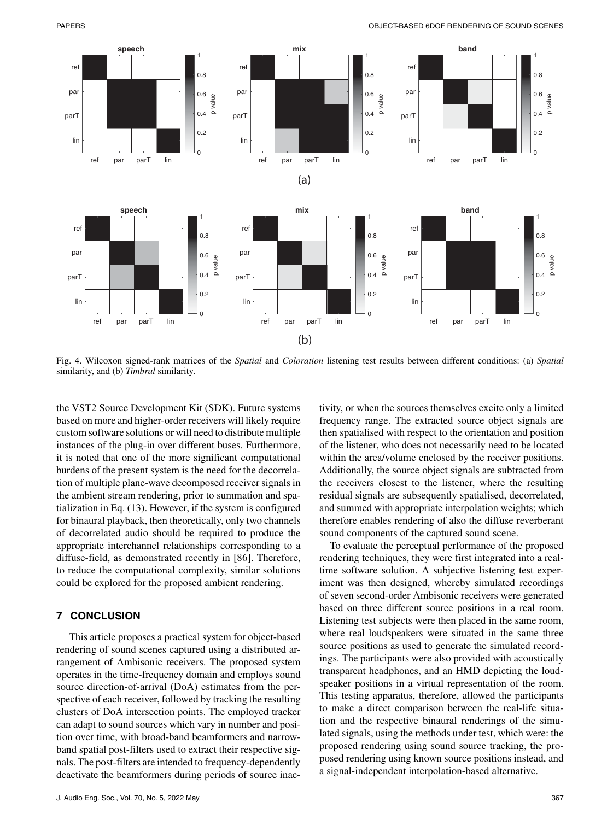

Fig. 4. Wilcoxon signed-rank matrices of the *Spatial* and *Coloration* listening test results between different conditions: (a) *Spatial* similarity, and (b) *Timbral* similarity.

the VST2 Source Development Kit (SDK). Future systems based on more and higher-order receivers will likely require custom software solutions or will need to distribute multiple instances of the plug-in over different buses. Furthermore, it is noted that one of the more significant computational burdens of the present system is the need for the decorrelation of multiple plane-wave decomposed receiver signals in the ambient stream rendering, prior to summation and spatialization in Eq. (13). However, if the system is configured for binaural playback, then theoretically, only two channels of decorrelated audio should be required to produce the appropriate interchannel relationships corresponding to a diffuse-field, as demonstrated recently in [86]. Therefore, to reduce the computational complexity, similar solutions could be explored for the proposed ambient rendering.

# **7 CONCLUSION**

This article proposes a practical system for object-based rendering of sound scenes captured using a distributed arrangement of Ambisonic receivers. The proposed system operates in the time-frequency domain and employs sound source direction-of-arrival (DoA) estimates from the perspective of each receiver, followed by tracking the resulting clusters of DoA intersection points. The employed tracker can adapt to sound sources which vary in number and position over time, with broad-band beamformers and narrowband spatial post-filters used to extract their respective signals. The post-filters are intended to frequency-dependently deactivate the beamformers during periods of source inactivity, or when the sources themselves excite only a limited frequency range. The extracted source object signals are then spatialised with respect to the orientation and position of the listener, who does not necessarily need to be located within the area/volume enclosed by the receiver positions. Additionally, the source object signals are subtracted from the receivers closest to the listener, where the resulting residual signals are subsequently spatialised, decorrelated, and summed with appropriate interpolation weights; which therefore enables rendering of also the diffuse reverberant sound components of the captured sound scene.

To evaluate the perceptual performance of the proposed rendering techniques, they were first integrated into a realtime software solution. A subjective listening test experiment was then designed, whereby simulated recordings of seven second-order Ambisonic receivers were generated based on three different source positions in a real room. Listening test subjects were then placed in the same room, where real loudspeakers were situated in the same three source positions as used to generate the simulated recordings. The participants were also provided with acoustically transparent headphones, and an HMD depicting the loudspeaker positions in a virtual representation of the room. This testing apparatus, therefore, allowed the participants to make a direct comparison between the real-life situation and the respective binaural renderings of the simulated signals, using the methods under test, which were: the proposed rendering using sound source tracking, the proposed rendering using known source positions instead, and a signal-independent interpolation-based alternative.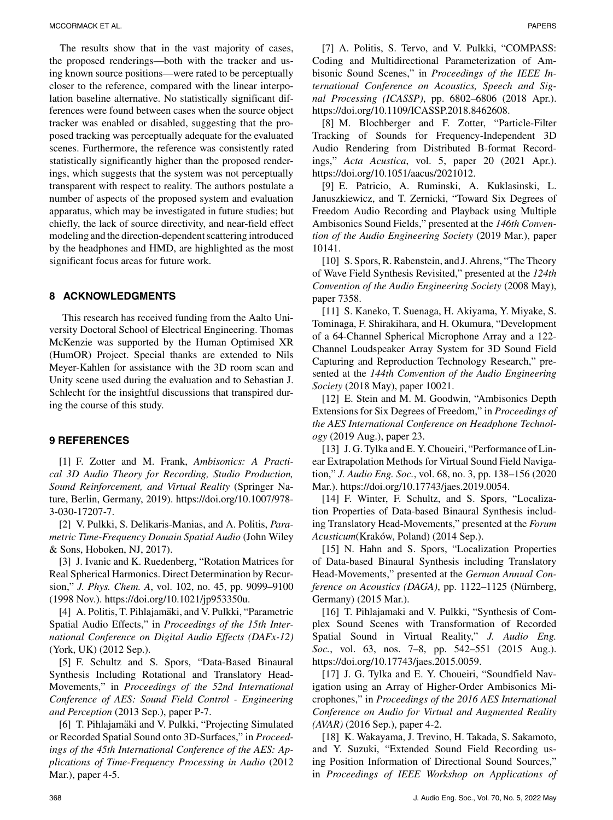The results show that in the vast majority of cases, the proposed renderings—both with the tracker and using known source positions—were rated to be perceptually closer to the reference, compared with the linear interpolation baseline alternative. No statistically significant differences were found between cases when the source object tracker was enabled or disabled, suggesting that the proposed tracking was perceptually adequate for the evaluated scenes. Furthermore, the reference was consistently rated statistically significantly higher than the proposed renderings, which suggests that the system was not perceptually transparent with respect to reality. The authors postulate a number of aspects of the proposed system and evaluation apparatus, which may be investigated in future studies; but chiefly, the lack of source directivity, and near-field effect modeling and the direction-dependent scattering introduced by the headphones and HMD, are highlighted as the most significant focus areas for future work.

## **8 ACKNOWLEDGMENTS**

This research has received funding from the Aalto University Doctoral School of Electrical Engineering. Thomas McKenzie was supported by the Human Optimised XR (HumOR) Project. Special thanks are extended to Nils Meyer-Kahlen for assistance with the 3D room scan and Unity scene used during the evaluation and to Sebastian J. Schlecht for the insightful discussions that transpired during the course of this study.

## **9 REFERENCES**

[1] F. Zotter and M. Frank, *Ambisonics: A Practical 3D Audio Theory for Recording, Studio Production, Sound Reinforcement, and Virtual Reality* (Springer Nature, Berlin, Germany, 2019). https://doi.org/10.1007/978- 3-030-17207-7.

[2] V. Pulkki, S. Delikaris-Manias, and A. Politis, *Parametric Time-Frequency Domain Spatial Audio* (John Wiley & Sons, Hoboken, NJ, 2017).

[3] J. Ivanic and K. Ruedenberg, "Rotation Matrices for Real Spherical Harmonics. Direct Determination by Recursion," *J. Phys. Chem. A*, vol. 102, no. 45, pp. 9099–9100 (1998 Nov.). https://doi.org/10.1021/jp953350u.

[4] A. Politis, T. Pihlajamäki, and V. Pulkki, "Parametric Spatial Audio Effects," in *Proceedings of the 15th International Conference on Digital Audio Effects (DAFx-12)* (York, UK) (2012 Sep.).

[5] F. Schultz and S. Spors, "Data-Based Binaural Synthesis Including Rotational and Translatory Head-Movements," in *Proceedings of the 52nd International Conference of AES: Sound Field Control - Engineering and Perception* (2013 Sep.), paper P-7.

[6] T. Pihlajamäki and V. Pulkki, "Projecting Simulated or Recorded Spatial Sound onto 3D-Surfaces," in *Proceedings of the 45th International Conference of the AES: Applications of Time-Frequency Processing in Audio* (2012 Mar.), paper 4-5.

[7] A. Politis, S. Tervo, and V. Pulkki, "COMPASS: Coding and Multidirectional Parameterization of Ambisonic Sound Scenes," in *Proceedings of the IEEE International Conference on Acoustics, Speech and Signal Processing (ICASSP)*, pp. 6802–6806 (2018 Apr.). https://doi.org/10.1109/ICASSP.2018.8462608.

[8] M. Blochberger and F. Zotter, "Particle-Filter Tracking of Sounds for Frequency-Independent 3D Audio Rendering from Distributed B-format Recordings," *Acta Acustica*, vol. 5, paper 20 (2021 Apr.). https://doi.org/10.1051/aacus/2021012.

[9] E. Patricio, A. Ruminski, A. Kuklasinski, L. Januszkiewicz, and T. Zernicki, "Toward Six Degrees of Freedom Audio Recording and Playback using Multiple Ambisonics Sound Fields," presented at the *146th Convention of the Audio Engineering Society* (2019 Mar.), paper 10141.

[10] S. Spors, R. Rabenstein, and J. Ahrens, "The Theory of Wave Field Synthesis Revisited," presented at the *124th Convention of the Audio Engineering Society* (2008 May), paper 7358.

[11] S. Kaneko, T. Suenaga, H. Akiyama, Y. Miyake, S. Tominaga, F. Shirakihara, and H. Okumura, "Development of a 64-Channel Spherical Microphone Array and a 122- Channel Loudspeaker Array System for 3D Sound Field Capturing and Reproduction Technology Research," presented at the *144th Convention of the Audio Engineering Society* (2018 May), paper 10021.

[12] E. Stein and M. M. Goodwin, "Ambisonics Depth Extensions for Six Degrees of Freedom," in *Proceedings of the AES International Conference on Headphone Technology* (2019 Aug.), paper 23.

[13] J. G. Tylka and E. Y. Choueiri, "Performance of Linear Extrapolation Methods for Virtual Sound Field Navigation," *J. Audio Eng. Soc.*, vol. 68, no. 3, pp. 138–156 (2020 Mar.). https://doi.org/10.17743/jaes.2019.0054.

[14] F. Winter, F. Schultz, and S. Spors, "Localization Properties of Data-based Binaural Synthesis including Translatory Head-Movements," presented at the *Forum Acusticum*(Kraków, Poland) (2014 Sep.).

[15] N. Hahn and S. Spors, "Localization Properties of Data-based Binaural Synthesis including Translatory Head-Movements," presented at the *German Annual Conference on Acoustics (DAGA)*, pp. 1122–1125 (Nürnberg, Germany) (2015 Mar.).

[16] T. Pihlajamaki and V. Pulkki, "Synthesis of Complex Sound Scenes with Transformation of Recorded Spatial Sound in Virtual Reality," *J. Audio Eng. Soc.*, vol. 63, nos. 7–8, pp. 542–551 (2015 Aug.). https://doi.org/10.17743/jaes.2015.0059.

[17] J. G. Tylka and E. Y. Choueiri, "Soundfield Navigation using an Array of Higher-Order Ambisonics Microphones," in *Proceedings of the 2016 AES International Conference on Audio for Virtual and Augmented Reality (AVAR)* (2016 Sep.), paper 4-2.

[18] K. Wakayama, J. Trevino, H. Takada, S. Sakamoto, and Y. Suzuki, "Extended Sound Field Recording using Position Information of Directional Sound Sources," in *Proceedings of IEEE Workshop on Applications of*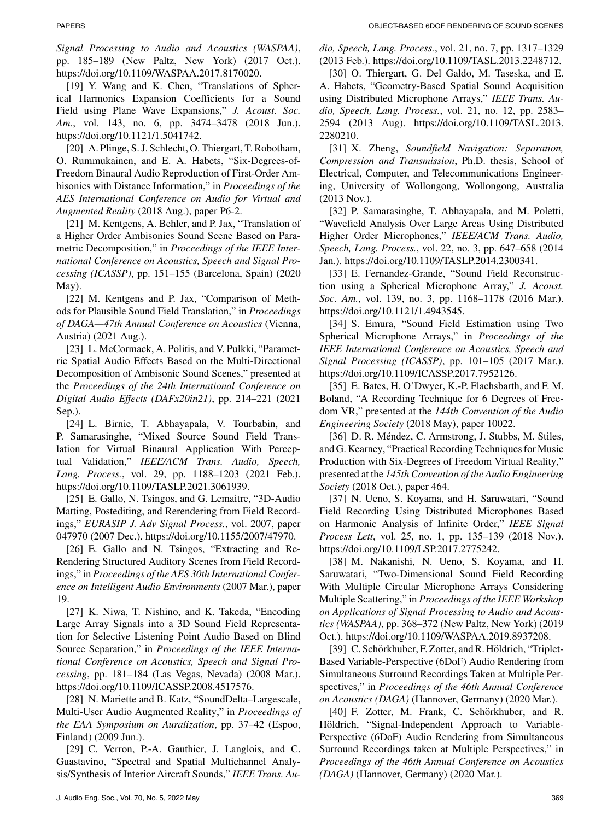*Signal Processing to Audio and Acoustics (WASPAA)*, pp. 185–189 (New Paltz, New York) (2017 Oct.). https://doi.org/10.1109/WASPAA.2017.8170020.

[19] Y. Wang and K. Chen, "Translations of Spherical Harmonics Expansion Coefficients for a Sound Field using Plane Wave Expansions," *J. Acoust. Soc. Am.*, vol. 143, no. 6, pp. 3474–3478 (2018 Jun.). https://doi.org/10.1121/1.5041742.

[20] A. Plinge, S. J. Schlecht, O. Thiergart, T. Robotham, O. Rummukainen, and E. A. Habets, "Six-Degrees-of-Freedom Binaural Audio Reproduction of First-Order Ambisonics with Distance Information," in *Proceedings of the AES International Conference on Audio for Virtual and Augmented Reality* (2018 Aug.), paper P6-2.

[21] M. Kentgens, A. Behler, and P. Jax, "Translation of a Higher Order Ambisonics Sound Scene Based on Parametric Decomposition," in *Proceedings of the IEEE International Conference on Acoustics, Speech and Signal Processing (ICASSP)*, pp. 151–155 (Barcelona, Spain) (2020 May).

[22] M. Kentgens and P. Jax, "Comparison of Methods for Plausible Sound Field Translation," in *Proceedings of DAGA—47th Annual Conference on Acoustics* (Vienna, Austria) (2021 Aug.).

[23] L. McCormack, A. Politis, and V. Pulkki, "Parametric Spatial Audio Effects Based on the Multi-Directional Decomposition of Ambisonic Sound Scenes," presented at the *Proceedings of the 24th International Conference on Digital Audio Effects (DAFx20in21)*, pp. 214–221 (2021 Sep.).

[24] L. Birnie, T. Abhayapala, V. Tourbabin, and P. Samarasinghe, "Mixed Source Sound Field Translation for Virtual Binaural Application With Perceptual Validation," *IEEE/ACM Trans. Audio, Speech, Lang. Process.*, vol. 29, pp. 1188–1203 (2021 Feb.). https://doi.org/10.1109/TASLP.2021.3061939.

[25] E. Gallo, N. Tsingos, and G. Lemaitre, "3D-Audio Matting, Postediting, and Rerendering from Field Recordings," *EURASIP J. Adv Signal Process.*, vol. 2007, paper 047970 (2007 Dec.). https://doi.org/10.1155/2007/47970.

[26] E. Gallo and N. Tsingos, "Extracting and Re-Rendering Structured Auditory Scenes from Field Recordings," in *Proceedings of the AES 30th International Conference on Intelligent Audio Environments* (2007 Mar.), paper 19.

[27] K. Niwa, T. Nishino, and K. Takeda, "Encoding Large Array Signals into a 3D Sound Field Representation for Selective Listening Point Audio Based on Blind Source Separation," in *Proceedings of the IEEE International Conference on Acoustics, Speech and Signal Processing*, pp. 181–184 (Las Vegas, Nevada) (2008 Mar.). https://doi.org/10.1109/ICASSP.2008.4517576.

[28] N. Mariette and B. Katz, "SoundDelta–Largescale, Multi-User Audio Augmented Reality," in *Proceedings of the EAA Symposium on Auralization*, pp. 37–42 (Espoo, Finland) (2009 Jun.).

[29] C. Verron, P.-A. Gauthier, J. Langlois, and C. Guastavino, "Spectral and Spatial Multichannel Analysis/Synthesis of Interior Aircraft Sounds," *IEEE Trans. Au-*

[30] O. Thiergart, G. Del Galdo, M. Taseska, and E. A. Habets, "Geometry-Based Spatial Sound Acquisition using Distributed Microphone Arrays," *IEEE Trans. Audio, Speech, Lang. Process.*, vol. 21, no. 12, pp. 2583– 2594 (2013 Aug). https://doi.org/10.1109/TASL.2013. 2280210.

[31] X. Zheng, *Soundfield Navigation: Separation, Compression and Transmission*, Ph.D. thesis, School of Electrical, Computer, and Telecommunications Engineering, University of Wollongong, Wollongong, Australia (2013 Nov.).

[32] P. Samarasinghe, T. Abhayapala, and M. Poletti, "Wavefield Analysis Over Large Areas Using Distributed Higher Order Microphones," *IEEE/ACM Trans. Audio, Speech, Lang. Process.*, vol. 22, no. 3, pp. 647–658 (2014 Jan.). https://doi.org/10.1109/TASLP.2014.2300341.

[33] E. Fernandez-Grande, "Sound Field Reconstruction using a Spherical Microphone Array," *J. Acoust. Soc. Am.*, vol. 139, no. 3, pp. 1168–1178 (2016 Mar.). https://doi.org/10.1121/1.4943545.

[34] S. Emura, "Sound Field Estimation using Two Spherical Microphone Arrays," in *Proceedings of the IEEE International Conference on Acoustics, Speech and Signal Processing (ICASSP)*, pp. 101–105 (2017 Mar.). https://doi.org/10.1109/ICASSP.2017.7952126.

[35] E. Bates, H. O'Dwyer, K.-P. Flachsbarth, and F. M. Boland, "A Recording Technique for 6 Degrees of Freedom VR," presented at the *144th Convention of the Audio Engineering Society* (2018 May), paper 10022.

[36] D. R. Méndez, C. Armstrong, J. Stubbs, M. Stiles, and G. Kearney, "Practical Recording Techniques for Music Production with Six-Degrees of Freedom Virtual Reality," presented at the *145th Convention of the Audio Engineering Society* (2018 Oct.), paper 464.

[37] N. Ueno, S. Koyama, and H. Saruwatari, "Sound Field Recording Using Distributed Microphones Based on Harmonic Analysis of Infinite Order," *IEEE Signal Process Lett*, vol. 25, no. 1, pp. 135–139 (2018 Nov.). https://doi.org/10.1109/LSP.2017.2775242.

[38] M. Nakanishi, N. Ueno, S. Koyama, and H. Saruwatari, "Two-Dimensional Sound Field Recording With Multiple Circular Microphone Arrays Considering Multiple Scattering," in *Proceedings of the IEEE Workshop on Applications of Signal Processing to Audio and Acoustics (WASPAA)*, pp. 368–372 (New Paltz, New York) (2019 Oct.). https://doi.org/10.1109/WASPAA.2019.8937208.

[39] C. Schörkhuber, F. Zotter, and R. Höldrich, "Triplet-Based Variable-Perspective (6DoF) Audio Rendering from Simultaneous Surround Recordings Taken at Multiple Perspectives," in *Proceedings of the 46th Annual Conference on Acoustics (DAGA)* (Hannover, Germany) (2020 Mar.).

[40] F. Zotter, M. Frank, C. Schörkhuber, and R. Höldrich, "Signal-Independent Approach to Variable-Perspective (6DoF) Audio Rendering from Simultaneous Surround Recordings taken at Multiple Perspectives," in *Proceedings of the 46th Annual Conference on Acoustics (DAGA)* (Hannover, Germany) (2020 Mar.).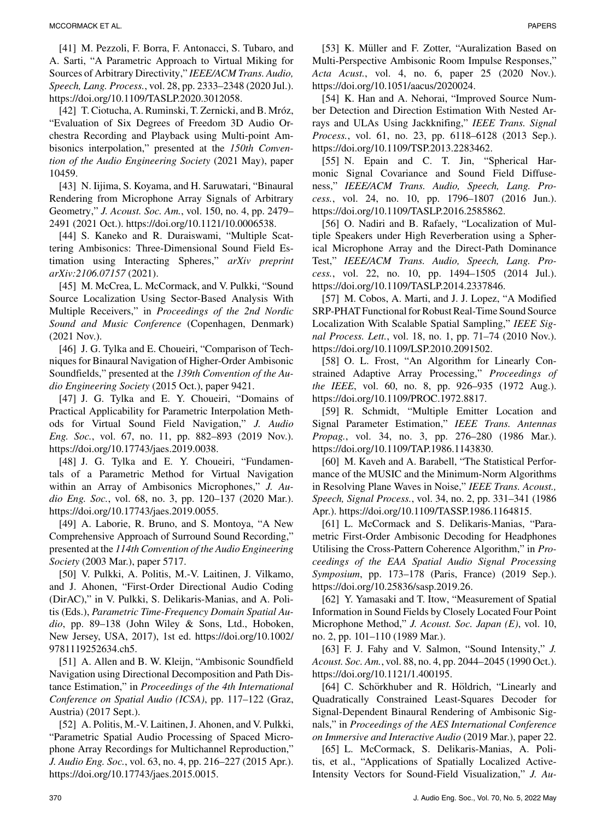[41] M. Pezzoli, F. Borra, F. Antonacci, S. Tubaro, and A. Sarti, "A Parametric Approach to Virtual Miking for Sources of Arbitrary Directivity," *IEEE/ACM Trans. Audio, Speech, Lang. Process.*, vol. 28, pp. 2333–2348 (2020 Jul.). https://doi.org/10.1109/TASLP.2020.3012058.

[42] T. Ciotucha, A. Ruminski, T. Zernicki, and B. Mróz, "Evaluation of Six Degrees of Freedom 3D Audio Orchestra Recording and Playback using Multi-point Ambisonics interpolation," presented at the *150th Convention of the Audio Engineering Society* (2021 May), paper 10459.

[43] N. Iijima, S. Koyama, and H. Saruwatari, "Binaural Rendering from Microphone Array Signals of Arbitrary Geometry," *J. Acoust. Soc. Am.*, vol. 150, no. 4, pp. 2479– 2491 (2021 Oct.). https://doi.org/10.1121/10.0006538.

[44] S. Kaneko and R. Duraiswami, "Multiple Scattering Ambisonics: Three-Dimensional Sound Field Estimation using Interacting Spheres," *arXiv preprint arXiv:2106.07157* (2021).

[45] M. McCrea, L. McCormack, and V. Pulkki, "Sound Source Localization Using Sector-Based Analysis With Multiple Receivers," in *Proceedings of the 2nd Nordic Sound and Music Conference* (Copenhagen, Denmark) (2021 Nov.).

[46] J. G. Tylka and E. Choueiri, "Comparison of Techniques for Binaural Navigation of Higher-Order Ambisonic Soundfields," presented at the *139th Convention of the Audio Engineering Society* (2015 Oct.), paper 9421.

[47] J. G. Tylka and E. Y. Choueiri, "Domains of Practical Applicability for Parametric Interpolation Methods for Virtual Sound Field Navigation," *J. Audio Eng. Soc.*, vol. 67, no. 11, pp. 882–893 (2019 Nov.). https://doi.org/10.17743/jaes.2019.0038.

[48] J. G. Tylka and E. Y. Choueiri, "Fundamentals of a Parametric Method for Virtual Navigation within an Array of Ambisonics Microphones," *J. Audio Eng. Soc.*, vol. 68, no. 3, pp. 120–137 (2020 Mar.). https://doi.org/10.17743/jaes.2019.0055.

[49] A. Laborie, R. Bruno, and S. Montoya, "A New Comprehensive Approach of Surround Sound Recording," presented at the *114th Convention of the Audio Engineering Society* (2003 Mar.), paper 5717.

[50] V. Pulkki, A. Politis, M.-V. Laitinen, J. Vilkamo, and J. Ahonen, "First-Order Directional Audio Coding (DirAC)," in V. Pulkki, S. Delikaris-Manias, and A. Politis (Eds.), *Parametric Time-Frequency Domain Spatial Audio*, pp. 89–138 (John Wiley & Sons, Ltd., Hoboken, New Jersey, USA, 2017), 1st ed. https://doi.org/10.1002/ 9781119252634.ch5.

[51] A. Allen and B. W. Kleijn, "Ambisonic Soundfield Navigation using Directional Decomposition and Path Distance Estimation," in *Proceedings of the 4th International Conference on Spatial Audio (ICSA)*, pp. 117–122 (Graz, Austria) (2017 Sept.).

[52] A. Politis, M.-V. Laitinen, J. Ahonen, and V. Pulkki, "Parametric Spatial Audio Processing of Spaced Microphone Array Recordings for Multichannel Reproduction," *J. Audio Eng. Soc.*, vol. 63, no. 4, pp. 216–227 (2015 Apr.). https://doi.org/10.17743/jaes.2015.0015.

[53] K. Müller and F. Zotter, "Auralization Based on Multi-Perspective Ambisonic Room Impulse Responses," *Acta Acust.*, vol. 4, no. 6, paper 25 (2020 Nov.). https://doi.org/10.1051/aacus/2020024.

[54] K. Han and A. Nehorai, "Improved Source Number Detection and Direction Estimation With Nested Arrays and ULAs Using Jackknifing," *IEEE Trans. Signal Process.*, vol. 61, no. 23, pp. 6118–6128 (2013 Sep.). https://doi.org/10.1109/TSP.2013.2283462.

[55] N. Epain and C. T. Jin, "Spherical Harmonic Signal Covariance and Sound Field Diffuseness," *IEEE/ACM Trans. Audio, Speech, Lang. Process.*, vol. 24, no. 10, pp. 1796–1807 (2016 Jun.). https://doi.org/10.1109/TASLP.2016.2585862.

[56] O. Nadiri and B. Rafaely, "Localization of Multiple Speakers under High Reverberation using a Spherical Microphone Array and the Direct-Path Dominance Test," *IEEE/ACM Trans. Audio, Speech, Lang. Process.*, vol. 22, no. 10, pp. 1494–1505 (2014 Jul.). https://doi.org/10.1109/TASLP.2014.2337846.

[57] M. Cobos, A. Marti, and J. J. Lopez, "A Modified SRP-PHAT Functional for Robust Real-Time Sound Source Localization With Scalable Spatial Sampling," *IEEE Signal Process. Lett.*, vol. 18, no. 1, pp. 71–74 (2010 Nov.). https://doi.org/10.1109/LSP.2010.2091502.

[58] O. L. Frost, "An Algorithm for Linearly Constrained Adaptive Array Processing," *Proceedings of the IEEE*, vol. 60, no. 8, pp. 926–935 (1972 Aug.). https://doi.org/10.1109/PROC.1972.8817.

[59] R. Schmidt, "Multiple Emitter Location and Signal Parameter Estimation," *IEEE Trans. Antennas Propag.*, vol. 34, no. 3, pp. 276–280 (1986 Mar.). https://doi.org/10.1109/TAP.1986.1143830.

[60] M. Kaveh and A. Barabell, "The Statistical Performance of the MUSIC and the Minimum-Norm Algorithms in Resolving Plane Waves in Noise," *IEEE Trans. Acoust., Speech, Signal Process.*, vol. 34, no. 2, pp. 331–341 (1986 Apr.). https://doi.org/10.1109/TASSP.1986.1164815.

[61] L. McCormack and S. Delikaris-Manias, "Parametric First-Order Ambisonic Decoding for Headphones Utilising the Cross-Pattern Coherence Algorithm," in *Proceedings of the EAA Spatial Audio Signal Processing Symposium*, pp. 173–178 (Paris, France) (2019 Sep.). https://doi.org/10.25836/sasp.2019.26.

[62] Y. Yamasaki and T. Itow, "Measurement of Spatial Information in Sound Fields by Closely Located Four Point Microphone Method," *J. Acoust. Soc. Japan (E)*, vol. 10, no. 2, pp. 101–110 (1989 Mar.).

[63] F. J. Fahy and V. Salmon, "Sound Intensity," *J. Acoust. Soc. Am.*, vol. 88, no. 4, pp. 2044–2045 (1990 Oct.). https://doi.org/10.1121/1.400195.

[64] C. Schörkhuber and R. Höldrich, "Linearly and Quadratically Constrained Least-Squares Decoder for Signal-Dependent Binaural Rendering of Ambisonic Signals," in *Proceedings of the AES International Conference on Immersive and Interactive Audio* (2019 Mar.), paper 22.

[65] L. McCormack, S. Delikaris-Manias, A. Politis, et al., "Applications of Spatially Localized Active-Intensity Vectors for Sound-Field Visualization," *J. Au-*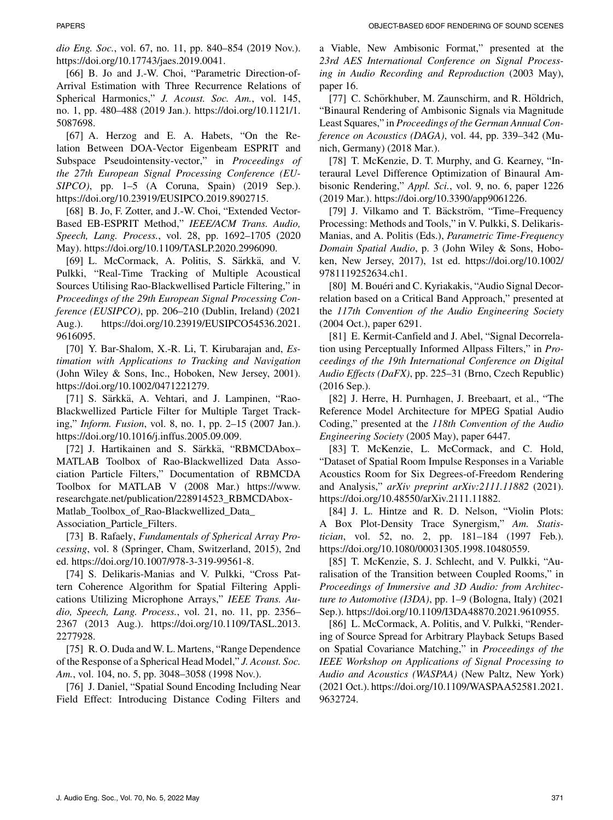*dio Eng. Soc.*, vol. 67, no. 11, pp. 840–854 (2019 Nov.). https://doi.org/10.17743/jaes.2019.0041.

[66] B. Jo and J.-W. Choi, "Parametric Direction-of-Arrival Estimation with Three Recurrence Relations of Spherical Harmonics," *J. Acoust. Soc. Am.*, vol. 145, no. 1, pp. 480–488 (2019 Jan.). https://doi.org/10.1121/1. 5087698.

[67] A. Herzog and E. A. Habets, "On the Relation Between DOA-Vector Eigenbeam ESPRIT and Subspace Pseudointensity-vector," in *Proceedings of the 27th European Signal Processing Conference (EU-SIPCO)*, pp. 1–5 (A Coruna, Spain) (2019 Sep.). https://doi.org/10.23919/EUSIPCO.2019.8902715.

[68] B. Jo, F. Zotter, and J.-W. Choi, "Extended Vector-Based EB-ESPRIT Method," *IEEE/ACM Trans. Audio, Speech, Lang. Process.*, vol. 28, pp. 1692–1705 (2020 May). https://doi.org/10.1109/TASLP.2020.2996090.

[69] L. McCormack, A. Politis, S. Särkkä, and V. Pulkki, "Real-Time Tracking of Multiple Acoustical Sources Utilising Rao-Blackwellised Particle Filtering," in *Proceedings of the 29th European Signal Processing Conference (EUSIPCO)*, pp. 206–210 (Dublin, Ireland) (2021 Aug.). https://doi.org/10.23919/EUSIPCO54536.2021. 9616095.

[70] Y. Bar-Shalom, X.-R. Li, T. Kirubarajan and, *Estimation with Applications to Tracking and Navigation* (John Wiley & Sons, Inc., Hoboken, New Jersey, 2001). https://doi.org/10.1002/0471221279.

[71] S. Särkkä, A. Vehtari, and J. Lampinen, "Rao-Blackwellized Particle Filter for Multiple Target Tracking," *Inform. Fusion*, vol. 8, no. 1, pp. 2–15 (2007 Jan.). https://doi.org/10.1016/j.inffus.2005.09.009.

[72] J. Hartikainen and S. Särkkä, "RBMCDAbox-MATLAB Toolbox of Rao-Blackwellized Data Association Particle Filters," Documentation of RBMCDA Toolbox for MATLAB V (2008 Mar.) [https://www.](https://www.researchgate.net/publication/228914523_RBMCDAbox-Matlab_Toolbox_of_Rao-Blackwellized_Data_Association_Particle_Filters) [researchgate.net/publication/228914523\\_RBMCDAbox-](https://www.researchgate.net/publication/228914523_RBMCDAbox-Matlab_Toolbox_of_Rao-Blackwellized_Data_Association_Particle_Filters)[Matlab\\_Toolbox\\_of\\_Rao-Blackwellized\\_Data\\_](https://www.researchgate.net/publication/228914523_RBMCDAbox-Matlab_Toolbox_of_Rao-Blackwellized_Data_Association_Particle_Filters) [Association\\_Particle\\_Filters.](https://www.researchgate.net/publication/228914523_RBMCDAbox-Matlab_Toolbox_of_Rao-Blackwellized_Data_Association_Particle_Filters)

[73] B. Rafaely, *Fundamentals of Spherical Array Processing*, vol. 8 (Springer, Cham, Switzerland, 2015), 2nd ed. https://doi.org/10.1007/978-3-319-99561-8.

[74] S. Delikaris-Manias and V. Pulkki, "Cross Pattern Coherence Algorithm for Spatial Filtering Applications Utilizing Microphone Arrays," *IEEE Trans. Audio, Speech, Lang. Process.*, vol. 21, no. 11, pp. 2356– 2367 (2013 Aug.). https://doi.org/10.1109/TASL.2013. 2277928.

[75] R. O. Duda and W. L. Martens, "Range Dependence of the Response of a Spherical Head Model," *J. Acoust. Soc. Am.*, vol. 104, no. 5, pp. 3048–3058 (1998 Nov.).

[76] J. Daniel, "Spatial Sound Encoding Including Near Field Effect: Introducing Distance Coding Filters and a Viable, New Ambisonic Format," presented at the *23rd AES International Conference on Signal Processing in Audio Recording and Reproduction* (2003 May), paper 16.

[77] C. Schörkhuber, M. Zaunschirm, and R. Höldrich, "Binaural Rendering of Ambisonic Signals via Magnitude Least Squares," in *Proceedings of the German Annual Conference on Acoustics (DAGA)*, vol. 44, pp. 339–342 (Munich, Germany) (2018 Mar.).

[78] T. McKenzie, D. T. Murphy, and G. Kearney, "Interaural Level Difference Optimization of Binaural Ambisonic Rendering," *Appl. Sci.*, vol. 9, no. 6, paper 1226 (2019 Mar.). https://doi.org/10.3390/app9061226.

[79] J. Vilkamo and T. Bäckström, "Time–Frequency Processing: Methods and Tools," in V. Pulkki, S. Delikaris-Manias, and A. Politis (Eds.), *Parametric Time-Frequency Domain Spatial Audio*, p. 3 (John Wiley & Sons, Hoboken, New Jersey, 2017), 1st ed. https://doi.org/10.1002/ 9781119252634.ch1.

[80] M. Bouéri and C. Kyriakakis, "Audio Signal Decorrelation based on a Critical Band Approach," presented at the *117th Convention of the Audio Engineering Society* (2004 Oct.), paper 6291.

[81] E. Kermit-Canfield and J. Abel, "Signal Decorrelation using Perceptually Informed Allpass Filters," in *Proceedings of the 19th International Conference on Digital Audio Effects (DaFX)*, pp. 225–31 (Brno, Czech Republic) (2016 Sep.).

[82] J. Herre, H. Purnhagen, J. Breebaart, et al., "The Reference Model Architecture for MPEG Spatial Audio Coding," presented at the *118th Convention of the Audio Engineering Society* (2005 May), paper 6447.

[83] T. McKenzie, L. McCormack, and C. Hold, "Dataset of Spatial Room Impulse Responses in a Variable Acoustics Room for Six Degrees-of-Freedom Rendering and Analysis," *arXiv preprint arXiv:2111.11882* (2021). https://doi.org/10.48550/arXiv.2111.11882.

[84] J. L. Hintze and R. D. Nelson, "Violin Plots: A Box Plot-Density Trace Synergism," *Am. Statistician*, vol. 52, no. 2, pp. 181–184 (1997 Feb.). https://doi.org/10.1080/00031305.1998.10480559.

[85] T. McKenzie, S. J. Schlecht, and V. Pulkki, "Auralisation of the Transition between Coupled Rooms," in *Proceedings of Immersive and 3D Audio: from Architecture to Automotive (I3DA)*, pp. 1–9 (Bologna, Italy) (2021 Sep.). https://doi.org/10.1109/I3DA48870.2021.9610955.

[86] L. McCormack, A. Politis, and V. Pulkki, "Rendering of Source Spread for Arbitrary Playback Setups Based on Spatial Covariance Matching," in *Proceedings of the IEEE Workshop on Applications of Signal Processing to Audio and Acoustics (WASPAA)* (New Paltz, New York) (2021 Oct.). https://doi.org/10.1109/WASPAA52581.2021. 9632724.